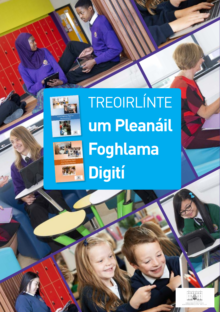



TREOIRLÍNTE **um Pleanáil Foghlama Digití**

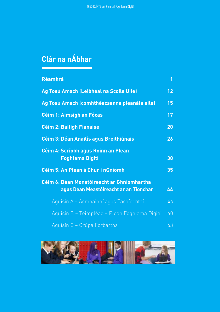# **Clár na nÁbhar**

г

| Réamhrá                                                                              | $\overline{1}$  |
|--------------------------------------------------------------------------------------|-----------------|
| Ag Tosú Amach (Leibhéal na Scoile Uile)                                              | 12 <sub>2</sub> |
| Ag Tosú Amach (comhthéacsanna pleanála eile)                                         | 15              |
| <b>Céim 1: Aimsigh an Fócas</b>                                                      | 17              |
| <b>Céim 2: Bailigh Fianaise</b>                                                      | 20              |
| <b>Céim 3: Déan Anailís agus Breithiúnais</b>                                        | 26              |
| <b>Céim 4: Scríobh agus Roinn an Plean</b><br><b>Foghlama Digití</b>                 | 30              |
| <b>Céim 5: An Plean á Chur i nGníomh</b>                                             | 35              |
| Céim 6: Déan Monatóireacht ar Ghníomhartha<br>agus Déan Meastóireacht ar an Tionchar | 44              |
| Aguisín A - Acmhainní agus Tacaíochtaí                                               | 46              |
| Aguisín B – Teimpléad – Plean Foghlama Digití                                        | 60              |
| Aguisín C – Grúpa Forbartha                                                          | 63              |

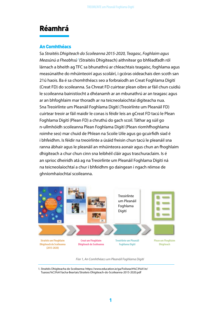## Réamhrá

## An Comhthéacs

Sa *Straitéis Dhigiteach do Scoileanna 2015-2020, Teagasc, Foghlaim agus Measúnú a Fheabhsú*<sup>1</sup> (Straitéis Dhigiteach) aithnítear go bhféadfadh ról lárnach a bheith ag TFC sa bhunathrú ar chleachtais teagaisc, foghlama agus measúnaithe do mhúinteoirí agus scoláirí, i gcóras oideachais den scoth san 21ú haois. Ba é sa chomhthéacs seo a forbraíodh an Creat Foghlama Digití (Creat FD) do scoileanna. Sa Chreat FD cuirtear plean oibre ar fáil chun cuidiú le scoileanna bainistíocht a dhéanamh ar an mbunathrú ar an teagasc agus ar an bhfoghlaim mar thoradh ar na teicneolaíochtaí digiteacha nua. Sna Treoirlínte um Pleanáil Foghlama Digití (Treoirlínte um Pleanáil FD) cuirtear treoir ar fáil maidir le conas is féidir leis an gCreat FD tacú le Plean Foghlama Digití (Plean FD) a chruthú do gach scoil. Táthar ag súil go n-ullmhóidh scoileanna Plean Foghlama Digití (Plean ríomhfhoghlama roimhe seo) mar chuid de Phlean na Scoile Uile agus go gcuirfidh siad é i bhfeidhm. Is féidir na treoirlínte a úsáid freisin chun tacú le pleanáil sna ranna ábhair agus le pleanáil an mhúinteora aonair agus chun an fhoghlaim dhigiteach a chur chun cinn sna leibhéil cláir agus traschuraclaim. Is é an sprioc dheiridh atá ag na Treoirlínte um Pleanáil Foghlama Digití ná na teicneolaíochtaí a chur i bhfeidhm go daingean i ngach réimse de ghníomhaíochtaí scoileanna.



*Fíor 1, An Comhthéacs um Pleanáil Foghlama Digití*

1. Straitéis Dhigiteacha do Scoileanna: https://www.education.ie/ga/Foilseach%C3%A1in/ Tuarasc%C3%A1lacha-Beartais/Straiteis-Dhigiteach-do-Scoileanna-2015-2020.pdf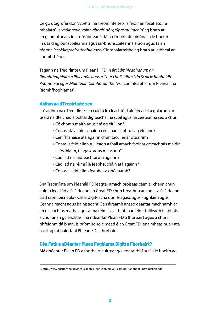Cé go dtagrófar don '*scoil*' trí na Treoirlínte seo, is féidir an focal '*scoil*' a mhalartú le '*múinteoir*', '*roinn ábhair*' nó '*grúpaí múinteoirí*' ag brath ar an gcomhthéacs ina n-úsáidtear é. Tá na Treoirlínte oiriúnach le bheith in úsáid ag bunscoileanna agus iar-bhunscoileanna araon agus tá an téarma *"scoláire/dalta/foghlaimeoir"* inmhalartaithe ag brath ar leibhéal an chomhthéacs.

Tagann na Treoirlínte um Pleanáil FD in áit *Lámhleabhar um an Ríomhfhoghlaim a Phleanáil agus a Chur i bhFeidhm i do Scoil le haghaidh Príomhoidí agus Múinteoirí Comhordaithe TFC* (Lámhleabhar um Pleanáil na Ríomhfhoghlama)2 **.** 

## Aidhm na dTreoirlínte seo

Is é aidhm na dTreoirlínte seo cuidiú le cleachtóirí úinéireacht a ghlacadh ar úsáid na dteicneolaíochtaí digiteacha ina scoil agus na ceisteanna seo a chur:

- Cé chomh maith agus atá ag éirí linn?
- Conas atá a fhios againn cén chaoi a bhfuil ag éirí linn?
- Cén fhianaise atá againn chun tacú lenár dtuairim?
- Conas is féidir linn tuilleadh a fháil amach faoinár gcleachtais maidir le foghlaim, teagasc agus measúnú?
- Cad iad na láidreachtaí atá againn?
- Cad iad na réimsí le feabhsúcháin atá againn?
- Conas is féidir linn feabhas a dhéanamh?

Sna Treoirlínte um Pleanáil FD leagtar amach próiseas céim ar chéim chun cuidiú leo siúd a úsáideann an Creat FD chun breathnú ar conas a úsáideann siad raon teicneolaíochtaí digiteacha don Teagasc agus Foghlaim agus Ceannaireacht agus Bainistíocht. San áireamh anseo déantar machnamh ar an gcleachtas reatha agus ar na réimsí a aithint inar féidir tuilleadh feabhais a chur ar an gcleachtas, ina ndéanfar Plean FD a fhorbairt agus a chur i bhfeidhm dá bharr. Is príomhdhoiciméad é an Creat FD lena mheas nuair atá scoil ag tabhairt faoi Phlean FD a fhorbairt.

## Cén Fáth a nDéantar Plean Foghlama Digití a Fhorbairt?

Má dhéantar Plean FD a fhorbairt cuirtear go leor tairbhí ar fáil le bheith ag

<sup>2.</sup> http://www.pdsttechnologyineducation.ie/en/Planning2/e-Learning-Handbook/Introduction.pdf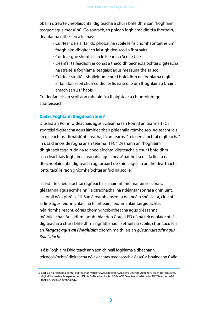obair i dtreo teicneolaíochtaí digiteacha a chur i bhfeidhm san fhoghlaim, teagasc agus measúnú. Go sonrach, trí phlean foghlama digití a fhorbairt, déanfar na nithe seo a leanas:

- Cuirfear deis ar fáil do phobal na scoile le fís chomhaontaithe um fhoghlaim dhigiteach laistigh den scoil a fhorbairt.
- Cuirfear gné shuntasach le Plean na Scoile Uile.
- Déanfar taifeadadh ar conas a thacóidh teicneolaíochtaí digiteacha na straitéisí foghlama, teagaisc agus measúnaithe sa scoil.
- Cuirfear straitéis shoiléir um chur i bhfeidhm na foghlama digití ar fáil don scoil chun cuidiú léi fís na scoile um fhoghlaim a bhaint amach san 21<sup>ú</sup> haois.

Cuideofar leis an scoil aon mhaoiniú a fhaightear a chionroinnt go straitéiseach.

## Cad is Foghlaim Dhigiteach ann?

D'úsáid an Roinn Oideachais agus Scileanna (an Roinn) an téarma TFC i straitéisí digiteacha agus lámhleabhair phleanála roimhe seo. Ag teacht leis an gcleachtas idirnáisiúnta reatha, tá an téarma "teicneolaíochtaí digiteacha" in úsáid anois de rogha ar an téarma "TFC". Déanann an fhoghlaim dhigiteach tagairt do na teicneolaíochtaí digiteacha a chur i bhfeidhm sna cleachtais foghlama, teagaisc agus measúnaithe i scoil. Tá liosta na dteicneolaíochtaí digiteacha ag forbairt de shíor, agus tá an fhéidearthacht iontu tacú le raon gníomhaíochtaí ar fud na scoile.

Is féidir teicneolaíochtaí digiteacha a shainmhíniú mar uirlisí, córais, gléasanna agus acmhainní leictreonacha ina ndéantar sonraí a ghiniúint, a stóráil nó a phróiseáil. San áireamh anseo tá na meáin shóisialta, cluichí ar líne agus feidhmchláir, na hilmheáin, feidhmchláir táirgiúlachta, néalríomhaireacht, córais chomh-inoibritheacha agus gléasanna móibíleacha.<sup>3</sup> An aidhm taobh thiar den Chreat FD ná na teicneolaíochtaí digiteacha a chur i bhfeidhm i ngnáthshaol laethúil na scoile, chun tacú leis an *Teagasc agus an Fhoghlaim* chomh maith leis an *gCeannaireacht agus Bainistíocht.*

Is é is Foghlaim Dhigiteach ann aon chineál foghlama a dhéanann teicneolaíochtaí digiteacha nó cleachtas teagascach a éascú a bhaineann úsáid

<sup>3.</sup> Cad iad na teicneolaíochtaí digiteacha? https://www.education.vic.gov.au/school/teachers/teachingresources/ digital/Pages/teach.aspx#:~:text=Digital%20technologies%20are%20electronic%20tools,of%20learning%20 that%20uses%20technology.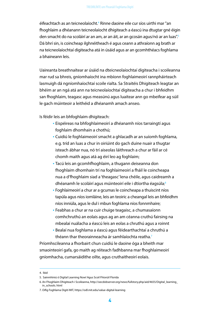éifeachtach as an teicneolaíocht.<sup>4</sup> Rinne daoine eile cur síos uirthi mar "an fhoghlaim a dhéanann teicneolaíocht dhigiteach a éascú ina dtugtar gné éigin den smacht do na scoláirí ar an am, ar an áit, ar an gcosán agus/nó ar an luas".<sup>5</sup> Dá bhrí sin, is coincheap ilghnéitheach é agus ceann a athraíonn ag brath ar na teicneolaíochtaí digiteacha atá in úsáid agus ar an gcomhthéacs foghlama a bhaineann leis.

Uaireanta breathnaítear ar úsáid na dteicneolaíochtaí digiteacha i scoileanna mar rud sa bhreis, gníomhaíocht ina mbíonn foghlaimeoirí rannpháirteach lasmuigh dá ngníomhaíochtaí scoile rialta. Sa Straitéis Dhigiteach leagtar an bhéim ar an ngá atá ann na teicneolaíochtaí digiteacha a chur i bhfeidhm san fhoghlaim, teagasc agus measúnú agus luaitear ann go mbeifear ag súil le gach múinteoir a leithéid a dhéanamh amach anseo.

Is féidir leis an bhfoghlaim dhigiteach:

- Eispéireas na bhfoghlaimeoirí a dhéanamh níos tarraingtí agus foghlaim dhomhain a chothú;
- Cuidiú le foghlaimeoirí smacht a ghlacadh ar an suíomh foghlama, e.g. tríd an luas a chur in oiriúint do gach duine nuair a thugtar isteach ábhar nua, nó trí aiseolas láithreach a chur ar fáil ar cé chomh maith agus atá ag éirí leo ag foghlaim;
- Tacú leis an gcomhfhoghlaim, a thugann deiseanna don fhoghlaim dhomhain trí na foghlaimeoirí a fháil le coincheapa nua a d'fhoghlaim siad a 'theagasc' lena chéile, agus caidreamh a dhéanamh le scoláirí agus múinteoirí eile i dtíortha éagsúla,<sup>6</sup>
- Foghlaimeoirí a chur ar a gcumas le coincheapa a thuiscint níos tapúla agus níos iomláine, leis an teoiric a cheangal leis an bhfeidhm níos inniúla, agus le dul i mbun foghlama níos fonnmhaire;
- Feabhas a chur ar na cuir chuige teagaisc, a chumasaíonn comhchruthú an eolais agus ag an am céanna cruthú fairsing na mbealaí nuálacha a éascú leis an eolas a chruthú agus a roinnt
- Bealaí nua foghlama a éascú agus féidearthachtaí a chruthú a théann thar theorainneacha ár samhlaíochta reatha.<sup>7</sup>

Príomhscileanna a fhorbairt chun cuidiú le daoine óga a bheith mar smaointeoirí gafa, go maith ag réiteach fadhbanna mar fhoghlaimeoirí gníomhacha, cumarsáidithe oilte, agus cruthaitheoirí eolais.

<sup>4.</sup> Ibid

<sup>5.</sup> Sainmhíniú ó Digital Learning Now! Agus Scoil Fhíorúil Florida

<sup>6.</sup> An Fhoghlaim Dhigiteach i Scoileanna, http://oecdobserver.org/news/fullstory.php/aid/4655/Digital\_learning\_ in\_schools. html

<sup>7.</sup> Oifig Foghlama Digití MIT, https://odl.mit.edu/value-digital-learning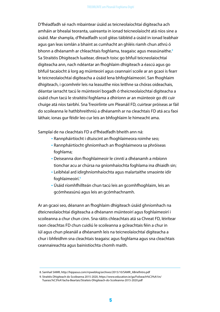D'fhéadfadh sé nach mbaintear úsáid as teicneolaíochtaí digiteacha ach amháin ar bhealaí teoranta, uaireanta in ionad teicneolaíocht atá níos sine a úsáid. Mar shampla, d'fhéadfadh scoil gléas táibléid a úsáid in ionad leabhair agus gan leas iomlán a bhaint as cumhacht an ghléis riamh chun athrú ó bhonn a dhéanamh ar chleachtais foghlama, teagaisc agus measúnaithe.<sup>8</sup> Sa Straitéis Dhigiteach luaitear, díreach toisc go bhfuil teicneolaíochtaí digiteacha ann, nach ndéantar an fhoghlaim dhigiteach a éascú agus go bhfuil tacaíocht á lorg ag múinteoirí agus ceannairí scoile ar an gcaoi is fearr le teicneolaíochtaí digiteacha a úsáid lena bhfoghlaimeoirí. San fhoghlaim dhigiteach, i gcomhréir leis na leasuithe níos leithne sa chóras oideachais, déantar iarracht tacú le múinteoirí bogadh ó theicneolaíochtaí digiteacha a úsáid chun tacú le straitéisí foghlama a dhíríonn ar an múinteoir go dtí cuir chuige atá níos tairbhí. Sna Treoirlínte um Pleanáil FD, cuirtear próiseas ar fáil do scoileanna le hathbhreithniú a dhéanamh ar na cleachtais FD atá acu faoi láthair, ionas gur féidir leo cur leis an bhfoghlaim le himeacht ama.

Samplaí de na cleachtais FD a d'fhéadfadh bheith ann ná:

- Rannpháirtíocht i dtuiscint an fhoghlaimeora roimhe seo;
- Rannpháirtíocht ghníomhach an fhoghlaimeora sa phróiseas foghlama;
- Deiseanna don fhoghlaimeoir le cinntí a dhéanamh a mbíonn tionchar acu ar chúrsa na gníomhaíochta foghlama ina dhiaidh sin;
- Leibhéal ard idirghníomhaíochta agus malartaithe smaointe idir foghlaimeoirí.<sup>9</sup>
- Úsáid ríomhfhillteán chun tacú leis an gcomhfhoghlaim, leis an gcómheasúnú agus leis an gcómhachnamh.

Ar an gcaoi seo, déanann an fhoghlaim dhigiteach úsáid ghníomhach na dteicneolaíochtaí digiteacha a dhéanann múinteoirí agus foghlaimeoirí i scoileanna a chur chun cinn. Sna ráitis chleachtais atá sa Chreat FD, léirítear raon cleachtas FD chun cuidiú le scoileanna a gcleachtais féin a chur in iúl agus chun pleanáil a dhéanamh leis na teicneolaíochtaí digiteacha a chur i bhfeidhm sna cleachtais teagaisc agus foghlama agus sna cleachtais ceannaireachta agus bainistíochta chomh maith.

<sup>8.</sup> Samhail SAMR, http://hippasus.com/rrpweblog/archives/2015/10/SAMR\_ABriefIntro.pdf

<sup>9.</sup> Straitéis Dhigiteach do Scoileanna 2015-2020, https://www.education.ie/ga/Foilseach%C3%A1in/ Tuarasc%C3%A1lacha-Beartais/Straiteis-Dhigiteach-do-Scoileanna-2015-2020.pdf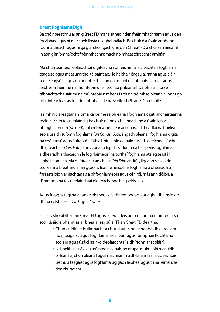## Creat Foghlama Digití

Ba chóir breathnú ar an gCreat FD mar áisitheoir den fhéinmhachnamh agus den fheabhas, agus ní mar sheicliosta uileghabhálach. Ba chóir é a úsáid ar bhonn roghnaitheach, agus ní gá gur chóir gach gné den Chreat FD a chur san áireamh in aon ghníomhaíocht fhéinmhachnamach nó mheastóireachta amháin.

Má chuirtear teicneolaíochtaí digiteacha i bhfeidhm sna cleachtais foghlama, teagaisc agus measúnaithe, tá baint acu le hábhair éagsúla, ranna agus cláir scoile éagsúla agus ní mór bheith ar an eolas faoi riachtanais, cumais agus leibhéil mhuiníne na múinteoirí uile i scoil sa phleanáil. Dá bhrí sin, tá sé tábhachtach tuairimí na múinteoirí a mheas i rith na tréimhse pleanála ionas go mbaintear leas as tuairimí phobal uile na scoile i bPlean FD na scoile.

Is rímhinic a leagtar an iomarca béime sa phleanáil foghlama digití ar cheisteanna maidir le cén teicneolaíocht ba chóir dúinn a cheannach nó a úsáid lenár bhfoghlaimeoirí (*an Cad*), sula mbreathnaítear ar conas a d'fhéadfaí na huirlisí seo a úsáid i suíomh foghlama (*an Conas*). Ach, i ngach pleanáil foghlama digití, ba chóir tosú agus fiafraí cén fáth a bhfuilimid ag baint úsáid as teicneolaíocht dhigiteach (*an Cén Fáth*) agus conas a ligfidh sí dúinn na heispéiris foghlama a dhearadh a thacaíonn le foghlaimeoirí na torthaí foghlama atá ag teastáil a bhaint amach. Má dhírítear ar an cheist *Cén Fáth* ar dtús, ligeann sé seo do scoileanna breathnú ar an gcaoi is fearr le heispéiris foghlama a dhearadh a fhreastalóidh ar riachtanais a bhfoghlaimeoirí agus cén ról, más ann dóibh, a d'imreodh na teicneolaíochtaí digiteacha sna heispéiris seo.

Agus freagra tugtha ar an gceist seo is féidir leo bogadh ar aghaidh ansin go dtí na ceisteanna *Cad* agus *Conas*.

Is uirlis sholúbtha í an Creat FD agus is féidir leis an scoil nó na múinteoirí sa scoil úsáid a bhaint as ar bhealaí éagsúla. Tá an Creat FD deartha:

- Chun cuidiú le hullmhacht a chur chun cinn le haghaidh curaclam nua, teagaisc agus foghlama níos fearr agus rannpháirtíochta na scoláirí agus úsáid na n-oideolaíochtaí a dhíríonn ar scoláirí.
- Le bheith in úsáid ag múinteoirí aonair, nó grúpaí múinteoirí mar uirlis phleanála, chun pleanáil agus machnamh a dhéanamh ar a gcleachtais laethúla teagaisc agus foghlama, ag gach leibhéal agus trí na réimsí uile den churaclam.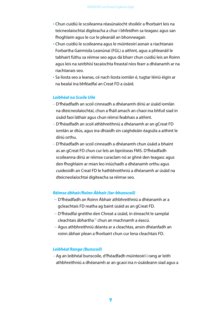- Chun cuidiú le scoileanna réasúnaíocht shoiléir a fhorbairt leis na teicneolaíochtaí digiteacha a chur i bhfeidhm sa teagasc agus san fhoghlaim agus le cur le pleanáil an bhonneagair.
- Chun cuidiú le scoileanna agus le múinteoirí aonair a riachtanais Forbartha Gairmiúla Leanúnaí (FGL) a aithint, agus a phleanáil le tabhairt fúthu sa réimse seo agus dá bharr chun cuidiú leis an Roinn agus leis na seirbhísí tacaíochta freastal níos fearr a dhéanamh ar na riachtanais seo.
- Sa liosta seo a leanas, cé nach liosta iomlán é, tugtar léiriú éigin ar na bealaí ina bhféadfaí an Creat FD a úsáid.

#### *Leibhéal na Scoile Uile*

- D'fhéadfadh an scoil cinneadh a dhéanamh díriú ar úsáid iomlán na dteicneolaíochtaí, chun a fháil amach an chaoi ina bhfuil siad in úsáid faoi láthair agus chun réimsí feabhais a aithint.
- D'fhéadfadh an scoil athbhreithniú a dhéanamh ar an gCreat FD iomlán ar dtús, agus ina dhiaidh sin caighdeáin éagsúla a aithint le díriú orthu.
- D'fhéadfadh an scoil cinneadh a dhéanamh chun úsáid a bhaint as an gCreat FD chun cur leis an bpróiseas FMS. D'fhéadfadh scoileanna díriú ar réimse curaclam nó ar ghné den teagasc agus den fhoghlaim ar mian leo iniúchadh a dhéanamh orthu agus cuideoidh an Creat FD le hathbhreithniú a dhéanamh ar úsáid na dteicneolaíochtaí digiteacha sa réimse seo.

#### *Réimse ábhair/Roinn Ábhair (Iar-bhunscoil)*

- D'fhéadfadh an Roinn Ábhair athbhreithniú a dhéanamh ar a gcleachtais FD reatha ag baint úsáid as an gCreat FD.
- D'fhéadfaí gnéithe den Chreat a úsáid, in éineacht le samplaí cleachtais ábhartha<sup>10</sup> chun an machnamh a éascú.
- Agus athbhreithniú déanta ar a cleachtas, ansin dhéanfadh an roinn ábhair plean a fhorbairt chun cur lena cleachtais FD.

#### *Leibhéal Ranga (Bunscoil)*

– Ag an leibhéal bunscoile, d'fhéadfadh múinteoirí i rang ar leith athbhreithniú a dhéanamh ar an gcaoi ina n-úsáideann siad agus a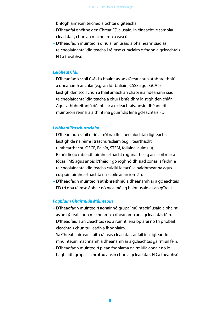bhfoghlaimeoirí teicneolaíochtaí digiteacha.

- D'fhéadfaí gnéithe den Chreat FD a úsáid, in éineacht le samplaí cleachtais, chun an machnamh a éascú.
- D'fhéadfadh múinteoirí díriú ar an úsáid a bhaineann siad as teicneolaíochtaí digiteacha i réimse curaclaim d'fhonn a gcleachtais FD a fheabhsú.

#### *Leibhéal Cláir*

- D'fhéadfadh scoil úsáid a bhaint as an gCreat chun athbhreithniú a dhéanamh ar chlár (e.g. an Idirbhliain, CSSS agus GCAT) laistigh den scoil chun a fháil amach an chaoi ina ndéanann siad teicneolaíochtaí digiteacha a chur i bhfeidhm laistigh den chlár.
- Agus athbhreithniú déanta ar a gcleachtais, ansin dhéanfadh múinteoirí réimsí a aithint ina gcuirfidís lena gcleachtais FD.

#### *Leibhéal Traschuraclaim*

- D'fhéadfadh scoil díriú ar ról na dteicneolaíochtaí digiteacha laistigh de na réimsí traschuraclaim (e.g. litearthacht, uimhearthacht, OSCE, Ealaín, STEM, folláine, cuimsiú).
- B'fhéidir go mbeadh uimhearthacht roghnaithe ag an scoil mar a fócas FMS agus anois b'fhéidir go roghnóidh siad conas is féidir le teicneolaíochtaí digiteacha cuidiú le tacú le haidhmeanna agus cuspóirí uimhearthachta na scoile ar an iomlán.
- D'fhéadfadh múinteoirí athbhreithniú a dhéanamh ar a gcleachtais FD trí dhá réimse ábhair nó níos mó ag baint úsáid as an gCreat.

### *Foghlaim Ghairmiúil Múinteoirí*

- D'fhéadfadh múinteoirí aonair nó grúpaí múinteoirí úsáid a bhaint as an gCreat chun machnamh a dhéanamh ar a gcleachtas féin. D'fhéadfaidís an cleachtas seo a roinnt lena bpiaraí nó trí phobail cleachtais chun tuilleadh a fhoghlaim.
- Sa Chreat cuirtear sraith ráiteas cleachtais ar fáil ina ligtear do mhúinteoirí machnamh a dhéanamh ar a gcleachtas gairmiúil féin.
- D'fhéadfadh múinteoirí plean foghlama gairmiúla aonair nó le haghaidh grúpaí a chruthú ansin chun a gcleachtais FD a fheabhsú.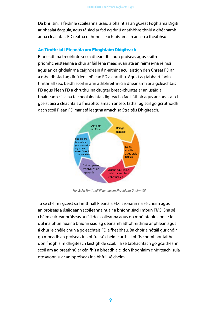Dá bhrí sin, is féidir le scoileanna úsáid a bhaint as an gCreat Foghlama Digití ar bhealaí éagsúla, agus tá siad ar fad ag díriú ar athbhreithniú a dhéanamh ar na cleachtais FD reatha d'fhonn cleachtais amach anseo a fheabhsú.

## An Timthriall Pleanála um Fhoghlaim Dhigiteach

Rinneadh na treoirlínte seo a dhearadh chun próiseas agus sraith príomhcheisteanna a chur ar fáil lena meas nuair atá an réimse/na réimsí agus an caighdeán/na caighdeáin á n-aithint acu laistigh den Chreat FD ar a mbeidh siad ag díriú lena bPlean FD a chruthú. Agus í ag tabhairt faoin timthriall seo, beidh scoil in ann athbhreithniú a dhéanamh ar a gcleachtais FD agus Plean FD a chruthú ina dtugtar breac-chuntas ar an úsáid a bhaineann sí as na teicneolaíochtaí digiteacha faoi láthair agus ar conas atá i gceist aici a cleachtais a fheabhsú amach anseo. Táthar ag súil go gcruthóidh gach scoil Plean FD mar atá leagtha amach sa Straitéis Dhigiteach.



*Fíor 2: An Timthriall Pleanála um Fhoghlaim Ghairmiúil*

Tá sé chéim i gceist sa Timthriall Pleanála FD. Is ionann na sé chéim agus an próiseas a úsáideann scoileanna nuair a bhíonn siad i mbun FMS. Sna sé chéim cuirtear próiseas ar fáil do scoileanna agus do mhúinteoirí aonair le dul ina bhun nuair a bhíonn siad ag déanamh athbhreithniú ar phlean agus á chur le chéile chun a gcleachtais FD a fheabhsú. Ba chóir a nótáil gur chóir go mbeadh an próiseas ina bhfuil sé chéim curtha i bhfís chomhaontaithe don fhoghlaim dhigiteach laistigh de scoil. Tá sé tábhachtach go gcaitheann scoil am ag breathnú ar cén fhís a bheadh aici don fhoghlaim dhigiteach, sula dtosaíonn sí ar an bpróiseas ina bhfuil sé chéim.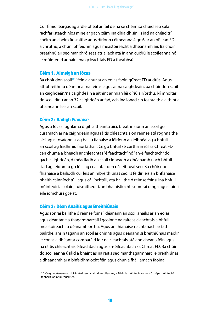Cuirfimid léargas ag ardleibhéal ar fáil de na sé chéim sa chuid seo sula rachfar isteach níos mine ar gach céim ina dhiaidh sin. Is iad na chéad trí chéim an chéim fiosraithe agus díríonn céimeanna 4 go 6 ar an bPlean FD a chruthú, a chur i bhfeidhm agus meastóireacht a dhéanamh air. Ba chóir breathnú air seo mar phróiseas atriallach atá in ann cuidiú le scoileanna nó le múinteoirí aonair lena gcleachtais FD a fheabhsú.

#### Céim 1: Aimsigh an fócas

Ba chóir don scoil<sup>10</sup> í féin a chur ar an eolas faoin gCreat FD ar dtús. Agus athbhreithniú déantar ar na réimsí agus ar na caighdeáin, ba chóir don scoil an caighdeán/na caighdeáin a aithint ar mian léi díriú air/orthu. Ní mholtar do scoil díriú ar an 32 caighdeán ar fad, ach ina ionad sin foshraith a aithint a bhaineann leis an scoil.

## Céim 2: Bailigh Fianaise

Agus a fócas foghlama digití aitheanta aici, breathnaíonn an scoil go cúramach ar na caighdeáin agus ráitis chleachtais ón réimse atá roghnaithe aici agus tosaíonn sí ag bailiú fianaise a léiríonn an leibhéal ag a bhfuil an scoil ag feidhmiú faoi láthair. Cé go bhfuil sé curtha in iúl sa Chreat FD cén chuma a bheadh ar chleachtas "éifeachtach" nó "an-éifeachtach" do gach caighdeán, d'fhéadfadh an scoil cinneadh a dhéanamh nach bhfuil siad ag feidhmiú go fóill ag ceachtar den dá leibhéal seo. Ba chóir don fhianaise a bailíodh cur leis an mbreithiúnas seo. Is féidir leis an bhfianaise bheith cainníochtúil agus cáilíochtúil, atá bailithe ó réimse foinsí ina bhfuil múinteoirí, scoláirí, tuismitheoirí, an bhainistíocht, seomraí ranga agus foinsí eile iomchuí i gceist.

#### Céim 3: Déan Anailís agus Breithiúnais

Agus sonraí bailithe ó réimse foinsí, déanann an scoil anailís ar an eolas agus déantar é a thagarmharcáil i gcoinne na ráiteas cleachtais a bhfuil meastóireacht á déanamh orthu. Agus an fhianaise riachtanach ar fad bailithe, ansin tagann an scoil ar chinntí agus déanann sí breithiúnais maidir le conas a dhéantar comparáid idir na cleachtais atá ann cheana féin agus na ráitis chleachtais éifeachtach agus an-éifeachtach sa Chreat FD. Ba chóir do scoileanna úsáid a bhaint as na ráitis seo mar thagarmharc le breithiúnas a dhéanamh ar a bhfeidhmíocht féin agus chun a fháil amach faoina

<sup>10.</sup> Cé go ndéanann an doiciméad seo tagairt do scoileanna, is féidir le múinteoir aonair nó grúpa múinteoirí tabhairt faoin timthriall seo.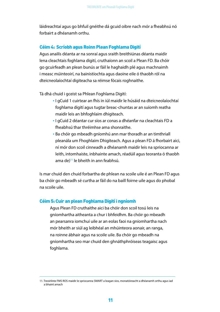láidreachtaí agus go bhfuil gnéithe dá gcuid oibre nach mór a fheabhsú nó forbairt a dhéanamh orthu.

## Céim 4: Scríobh agus Roinn Plean Foghlama Digití

Agus anailís déanta ar na sonraí agus sraith breithiúnas déanta maidir lena cleachtais foghlama digití, cruthaíonn an scoil a Plean FD. Ba chóir go gcuirfeadh an plean bunús ar fáil le haghaidh plé agus machnaimh i measc múinteoirí, na bainistíochta agus daoine eile ó thaobh ról na dteicneolaíochtaí digiteacha sa réimse fócais roghnaithe.

Tá dhá chuid i gceist sa Phlean Foghlama Digití:

- I gCuid 1 cuirtear an fhís in iúl maidir le húsáid na dteicneolaíochtaí foghlama digití agus tugtar breac-chuntas ar an suíomh reatha maidir leis an bhfoghlaim dhigiteach.
- I gCuid 2 déantar cur síos ar conas a dhéanfar na cleachtais FD a fheabhsú thar thréimhse ama shonraithe.
- Ba chóir go mbeadh gníomhú ann mar thoradh ar an timthriall pleanála um Fhoghlaim Dhigiteach. Agus a plean FD á fhorbairt aici, ní mór don scoil cinneadh a dhéanamh maidir leis na spriocanna ar leith, intomhaiste, inbhainte amach, réadúil agus teoranta ó thaobh ama de)<sup>11</sup> le bheith in ann feabhsú.

Is mar chuid den chuid forbartha de phlean na scoile uile é an Plean FD agus ba chóir go mbeadh sé curtha ar fáil do na baill foirne uile agus do phobal na scoile uile.

## Céim 5: Cuir an plean Foghlama Digití i ngníomh

Agus Plean FD cruthaithe aici ba chóir don scoil tosú leis na gníomhartha aitheanta a chur i bhfeidhm. Ba chóir go mbeadh an pearsanra iomchuí uile ar an eolas faoi na gníomhartha nach mór bheith ar siúl ag leibhéal an mhúinteora aonair, an ranga, na roinne ábhair agus na scoile uile. Ba chóir go mbeadh na gníomhartha seo mar chuid den ghnáthphróiseas teagaisc agus foghlama.

<sup>11.</sup> Treoirlínte FMS ROS maidir le spriocanna SMART a leagan síos, monatóireacht a dhéanamh orthu agus iad a bhaint amach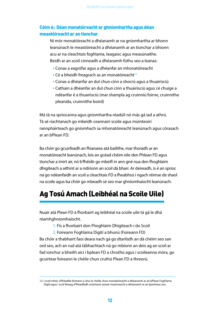## Céim 6: Déan monatóireacht ar ghníomhartha agus déan meastóireacht ar an tionchar

Ní mór monatóireacht a dhéanamh ar na gníomhartha ar bhonn leanúnach le meastóireacht a dhéanamh ar an tionchar a bhíonn acu ar na cleachtais foghlama, teagaisc agus measúnaithe. Beidh ar an scoil cinneadh a dhéanamh fúthu seo a leanas:

- Conas a eagrófar agus a dhéanfar an mhonatóireacht
- $\cdot$  Cé a bheidh freagrach as an monatóireacht<sup>12</sup>
- Conas a dhéanfar an dul chun cinn a shocrú agus a thuairisciú
- Cathain a dhéanfar an dul chun cinn a thuairisciú agus cé chuige a ndéanfar é a thuairisciú (mar shampla ag cruinniú foirne, cruinnithe pleanála, cruinnithe boird)

Má tá na spriocanna agus gníomhartha réadúil nó más gá iad a athrú. Tá sé riachtanach go mbeidh ceannairí scoile agus múinteoirí rannpháirteach go gníomhach sa mhonatóireacht leanúnach agus córasach ar an bPlean FD.

Ba chóir go gcuirfeadh an fhianaise atá bailithe, mar thoradh ar an monatóireacht leanúnach, leis an gcéad chéim eile den Phlean FD agus tionchar a imirt air, nó b'fhéidir go mbeifí in ann gné nua den fhoghlaim dhigiteach a aithint ar a ndíríonn an scoil dá bharr. Ar deireadh, is é an sprioc ná go ndéanfaidh an scoil a cleachtais FD a fheabhsú i ngach réimse de shaol na scoile agus ba chóir go mbeadh sé seo mar ghníomhaíocht leanúnach.

## Ag Tosú Amach (Leibhéal na Scoile Uile)

Nuair atá Plean FD á fhorbairt ag leibhéal na scoile uile tá gá le dhá réamhghníomhaíocht.

1. Fís a fhorbairt don Fhoghlaim Dhigiteach i do Scoil

2. Foireann Foghlama Digití a bhunú (Foireann FD)

Ba chóir a thabhairt faoi deara nach gá go dtarlódh an dá chéim seo san ord seo, ach an rud atá tábhachtach ná go mbíonn an deis ag an scoil ar fad ionchur a bheith aici i bplean FD a chruthú agus i scoileanna móra, go gcuirtear foireann le chéile chun cruthú Plean FD a threorú.

<sup>12.</sup> I scoil mhór, d'fhéadfaí foireann a chur le chéile chun monatóireacht a dhéanamh ar an bPlean Foghlama Digití agus i scoil bheag d'fhéadfadh múinteoir aonair maoirseacht a dhéanamh ar an bpróiseas seo.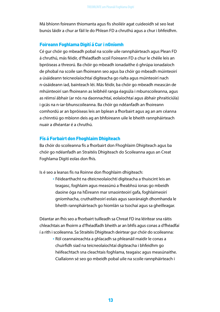Má bhíonn foireann thiomanta agus fís shoiléir agat cuideoidh sé seo leat bunús láidir a chur ar fáil le do Phlean FD a chruthú agus a chur i bhfeidhm.

### Foireann Foghlama Digití á Cur i nGníomh

Cé gur chóir go mbeadh pobal na scoile uile rannpháirteach agus Plean FD á chruthú, más féidir, d'fhéadfadh scoil Foireann FD a chur le chéile leis an bpróiseas a threorú. Ba chóir go mbeadh ionadaithe ó ghrúpa ionadaíoch de phobal na scoile san fhoireann seo agus ba chóir go mbeadh múinteoirí a úsáideann teicneolaíochtaí digiteacha go rialta agus múinteoirí nach n-úsáideann iad, bainteach léi. Más féidir, ba chóir go mbeadh meascán de mhúinteoirí san fhoireann as leibhéil ranga éagsúla i mbunscoileanna, agus as réimsí ábhair (ar nós na daonnachtaí, eolaíochtaí agus ábhair phraiticiúla) i gcás na n-iar-bhunscoileanna. Ba chóir go ndéanfadh an fhoireann comhordú ar an bpróiseas leis an bplean a fhorbairt agus ag an am céanna a chinntiú go mbíonn deis ag an bhfoireann uile le bheith rannpháirteach nuair a dhéantar é a chruthú.

### Fís á Forbairt don Fhoghlaim Dhigiteach

Ba chóir do scoileanna fís a fhorbairt don Fhoghlaim Dhigiteach agus ba chóir go ndéanfadh an Straitéis Dhigiteach do Scoileanna agus an Creat Foghlama Digití eolas don fhís.

Is é seo a leanas fís na Roinne don fhoghlaim dhigiteach:

 • Féidearthacht na dteicneolaíochtí digiteacha a thuiscint leis an teagasc, foghlaim agus measúnú a fheabhsú ionas go mbeidh daoine óga na hÉireann mar smaointeoirí gafa, foghlaimeoirí gníomhacha, cruthaitheoirí eolais agus saoránaigh dhomhanda le bheith rannpháirteach go hiomlán sa tsochaí agus sa gheilleagar.

Déantar an fhís seo a fhorbairt tuilleadh sa Chreat FD ina léirítear sna ráitis chleachtais an fhoirm a d'fhéadfadh bheith ar an bhfís agus conas a d'fhéadfaí í a rith i scoileanna. Sa Straitéis Dhigiteach deirtear gur chóir do scoileanna:

• Ról ceannaireachta a ghlacadh sa phleanáil maidir le conas a chuirfidh siad na teicneolaíochtaí digiteacha i bhfeidhm go héifeachtach sna cleachtais foghlama, teagaisc agus measúnaithe. Ciallaíonn sé seo go mbeidh pobal uile na scoile rannpháirteach i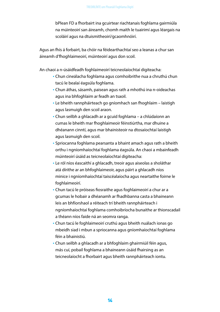bPlean FD a fhorbairt ina gcuirtear riachtanais foghlama gairmiúla na múinteoirí san áireamh, chomh maith le tuairimí agus léargais na scoláirí agus na dtuismitheoirí/gcaomhnóirí.

Agus an fhís á forbairt, ba chóir na féidearthachtaí seo a leanas a chur san áireamh d'fhoghlaimeoirí, múinteoirí agus don scoil.

An chaoi a n-úsáidfeadh foghlaimeoirí teicneolaíochtaí digiteacha:

- Chun cineálacha foghlama agus comhoibrithe nua a chruthú chun tacú le bealaí éagsúla foghlama.
- Chun áthas, sásamh, paisean agus rath a mhothú ina n-oideachas agus ina bhfoghlaim ar feadh an tsaoil.
- Le bheith rannpháirteach go gníomhach san fhoghlaim laistigh agus lasmuigh den scoil araon.
- Chun seilbh a ghlacadh ar a gcuid foghlama a chlúdaíonn an cumas le bheith mar fhoghlaimeoir féinstiúrtha, mar dhuine a dhéanann cinntí, agus mar bhainisteoir na dtosaíochtaí laistigh agus lasmuigh den scoil.
- Spriocanna foghlama pearsanta a bhaint amach agus rath a bheith orthu i ngníomhaíochtaí foghlama éagsúla. An chaoi a mbainfeadh múinteoirí úsáid as teicneolaíochtaí digiteacha:
- Le ról níos éascaithí a ghlacadh, treoir agus aiseolas a sholáthar atá dírithe ar an bhfoghlaimeoir, agus páirt a ghlacadh níos minice i ngníomhaíochtaí taiscéalaíocha agus neartaithe foirne le foghlaimeoirí.
- Chun tacú le próiseas fiosraithe agus foghlaimeoirí a chur ar a gcumas le hobair a dhéanamh ar fhadhbanna casta a bhaineann leis an bhfíorshaol a réiteach trí bheith rannpháirteach i ngníomhaíochtaí foghlama comhoibríocha bunaithe ar thionscadail a théann níos faide ná an seomra ranga.
- Chun tacú le foghlaimeoirí cruthú agus bheith nuálach ionas go mbeidh siad i mbun a spriocanna agus gníomhaíochtaí foghlama féin a bhainistiú.
- Chun seilbh a ghlacadh ar a bhfoghlaim ghairmiúil féin agus, más cuí, pobail foghlama a bhaineann úsáid fhairsing as an teicneolaíocht a fhorbairt agus bheith rannpháirteach iontu.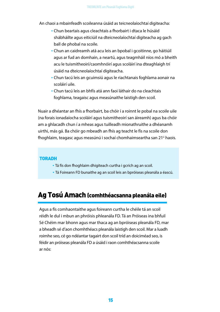An chaoi a mbainfeadh scoileanna úsáid as teicneolaíochtaí digiteacha:

- Chun beartais agus cleachtais a fhorbairt i dtaca le húsáid shábháilte agus eiticiúil na dteicneolaíochtaí digiteacha ag gach ball de phobal na scoile.
- Chun an caidreamh atá acu leis an bpobal i gcoitinne, go háitiúil agus ar fud an domhain, a neartú, agus teagmháil níos mó a bheith acu le tuismitheoirí/caomhnóirí agus scoláirí ina dteaghlaigh trí úsáid na dteicneolaíochtaí digiteacha.
- Chun tacú leis an gcuimsiú agus le riachtanais foghlama aonair na scoláirí uile.
- Chun tacú leis an bhfís atá ann faoi láthair do na cleachtais foghlama, teagaisc agus measúnaithe laistigh den scoil.

Nuair a dhéantar an fhís a fhorbairt, ba chóir í a roinnt le pobal na scoile uile (na forais ionadaíocha scoláirí agus tuismitheoirí san áireamh) agus ba chóir am a ghlacadh chun í a mheas agus tuilleadh mionathruithe a dhéanamh uirthi, más gá. Ba chóir go mbeadh an fhís ag teacht le fís na scoile don fhoghlaim, teagasc agus measúnú i sochaí chomhaimseartha san 21<sup>ú</sup> haois.

## **TORADH**

- Tá fís don fhoghlaim dhigiteach curtha i gcrích ag an scoil.
- Tá Foireann FD bunaithe ag an scoil leis an bpróiseas pleanála a éascú.

## Ag Tosú Amach (comhthéacsanna pleanála eile)

Agus a fís comhaontaithe agus foireann curtha le chéile tá an scoil réidh le dul i mbun an phróisis phleanála FD. Tá an Próiseas ina bhfuil Sé Chéim mar bhonn agus mar thaca ag an bpróiseas pleanála FD, mar a bheadh sé d'aon chomhthéacs pleanála laistigh den scoil. Mar a luadh roimhe seo, cé go ndéantar tagairt don scoil tríd an doiciméad seo, is féidir an próiseas pleanála FD a úsáid i raon comhthéacsanna scoile ar nós: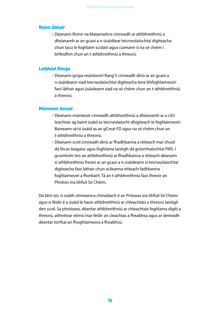## Roinn Ábhair

• Déanann Roinn na Matamaitice cinneadh ar athbhreithniú a dhéanamh ar an gcaoi a n-úsáidtear teicneolaíochtaí digiteacha chun tacú le foghlaim scoláirí agus cuireann sí na sé chéim i bhfeidhm chun an t-athbhreithniú a threorú.

## Leibhéal Ranga

• Déanann grúpa múinteoirí Rang 5 cinneadh díriú ar an gcaoi a n-úsáideann siad teicneolaíochtaí digiteacha lena bhfoghlaimeoirí faoi láthair agus úsáideann siad na sé chéim chun an t-athbhreithniú a threorú.

## Múinteoir Aonair

- Déanann múinteoir cinneadh athbhreithniú a dhéanamh ar a c(h) leachtais ag baint úsáid as teicneolaíocht dhigiteach le foghlaimeoirí. Baineann sé/sí úsáid as an gCreat FD agus na sé chéim chun an t-athbhreithniú a threorú.
- Déanann scoil cinneadh díriú ar fhadhbanna a réiteach mar chuid dá fócas teagaisc agus foghlama laistigh dá gníomhaíochtaí FMS. I gcomhréir leis an athbhreithniú ar fhadhbanna a réiteach déanann sí athbhreithniú freisin ar an gcaoi a n-úsáideann sí teicneolaíochtaí digiteacha faoi láthair chun scileanna réiteach fadhbanna foghlaimeoirí a fhorbairt. Tá an t-athbhreithniú faoi threoir an Phróisis ina bhfuil Sé Chéim.

Dá bhrí sin, is sraith céimeanna chineálach é an Próiseas ina bhfuil Sé Chéim agus is féidir é a úsáid le haon athbhreithniú ar chleachtais a threorú laistigh den scoil. Sa phróiseas, déantar athbhreithniú ar chleachtais foghlama digití a threorú, aithnítear réimsí inar féidir an cleachtas a fheabhsú agus ar deireadh déantar torthaí an fhoghlaimeora a fheabhsú.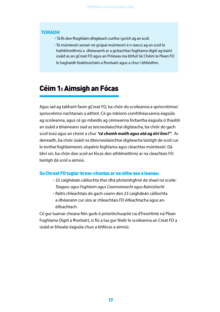#### **TORADH**

- Tá fís don fhoghlaim dhigiteach curtha i gcrích ag an scoil.
- Tá múinteoirí aonair nó grúpaí múinteoirí á n-éascú ag an scoil le hathbhreithniú a dhéanamh ar a gcleachtas foghlama digití ag baint úsáid as an gCreat FD agus an Próiseas ina bhfuil Sé Chéim le Plean FD le haghaidh feabhsúcháin a fhorbairt agus a chur i bhfeidhm.

## Céim 1: Aimsigh an Fócas

Agus iad ag tabhairt faoin gCreat FD, ba chóir do scoileanna a spriocréimse/ spriocréimsí riachtanais a aithint. Cé go mbíonn comhthéacsanna éagsúla ag scoileanna, agus cé go mbeidís ag céimeanna forbartha éagsúla ó thaobh an úsáid a bhaineann siad as teicneolaíochtaí digiteacha, ba chóir do gach scoil tosú agus an cheist a chur *"cé chomh maith agus atá ag éirí linn?"*. Ar deireadh, ba chóir úsáid na dteicneolaíochtaí digiteacha laistigh de scoil cur le torthaí foghlaimeoirí, eispéiris foghlama agus cleachtas múinteoirí. Dá bhrí sin, ba chóir don scoil an fócas den athbhreithniú ar na cleachtais FD laistigh dá scoil a aimsiú.

#### Sa Chreat FD tugtar breac-chuntas ar na nithe seo a leanas:

- 32 caighdeán cáilíochta thar dhá phríomhghné de shaol na scoile: *Teagasc agus Foghlaim agus Ceannaireacht agus Bainistíocht*
- Ráitis chleachtais do gach ceann den 23 caighdeán cáilíochta a dhéanann cur síos ar chleachtais FD éifeachtacha agus anéifeachtach.

Cé gur luamar cheana féin gurb é príomhchuspóir na dTreoirlínte ná Plean Foghlama Digití a fhorbairt, is fiú a lua gur féidir le scoileanna an Creat FD a úsáid ar bhealaí éagsúla chun a bhfócas a aimsiú.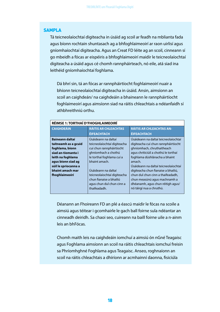#### **SAMPLA**

Tá teicneolaíochtaí digiteacha in úsáid ag scoil ar feadh na mblianta fada agus bíonn rochtain shuntasach ag a bhfoghlaimeoirí ar raon uirlisí agus gníomhaíochtaí digiteacha. Agus an Creat FD léite ag an scoil, cinneann sí go mbeidh a fócas ar eispéiris a bhfoghlaimeoirí maidir le teicneolaíochtaí digiteacha a úsáid agus cé chomh rannpháirteach, nó eile, atá siad ina leithéid gníomhaíochtaí foghlama.

 Dá bhrí sin, tá an fócas ar rannpháirtíocht foghlaimeoirí nuair a bhíonn teicneolaíochtaí digiteacha in úsáid. Ansin, aimsíonn an scoil an caighdeán/ na caighdeáin a bhaineann le rannpháirtíocht foghlaimeoirí agus aimsíonn siad na ráitis chleachtais a ndéanfaidh sí athbhreithniú orthu.

| RÉIMSE 1: TORTHAÍ D'FHOGHLAIMEOIRÍ |                             |                                      |
|------------------------------------|-----------------------------|--------------------------------------|
| <b>CAIGHDEÁIN</b>                  | <b>RÁITIS AR CHLEACHTAS</b> | <b>RÁITIS AR CHLEACHTAS AN-</b>      |
|                                    | <b>ÉIFEACHTACH</b>          | <b>ÉIFEACHTACH</b>                   |
| <b>Baineann daltaí</b>             | Úsáideann na daltaí         | Úsáideann na daltaí teicneolaíochtaí |
| taitneamh as a gcuid               | teicneolaíochtaí digiteacha | digiteacha cuí chun rannpháirtíocht  |
| foghlama, bíonn                    | cuí chun rannpháirtíocht    | ghníomhach, chruthaitheach           |
| siad an-tiomanta i                 | ghníomhach a chothú         | aqus chriticiúil a chothú le torthaí |
| leith na foghlama                  | le torthaí foghlama cuí a   | foghlama dúshlánacha a bhaint        |
| agus bíonn siad ag                 | bhaint amach.               | amach.                               |
| súil le spriocanna a               |                             | Úsáideann na daltaí teicneolaíochtaí |
| bhaint amach mar                   | Úsáideann na daltaí         | digiteacha chun fianaise a bhailiú,  |
| fhoghlaimeoirí                     | teicneolaíochtaí digiteacha | chun dul chun cinn a thaifeadadh,    |
|                                    | chun fianaise a bhailiú     | chun measúnú agus machnamh a         |
|                                    | agus chun dul chun cinn a   | dhéanamh, agus chun réitigh agus/    |
|                                    | thaifeadadh.                | nó táirgí nua a chruthú.             |

 Déanann an Fhoireann FD an plé a éascú maidir le fócas na scoile a aimsiú agus téitear i gcomhairle le gach ball foirne sula ndéantar an cinneadh deiridh. Sa chaoi seo, cuireann na baill foirne uile a n-ainm leis an bhFócas.

 Chomh maith leis na caighdeáin iomchuí a aimsiú ón nGné Teagaisc agus Foghlama aimsíonn an scoil na ráitis chleachtais iomchuí freisin sa Phríomhghné Foghlama agus Teagaisc. Anseo, roghnaíonn an scoil na ráitis chleachtais a dhíríonn ar acmhainní daonna, fisiciúla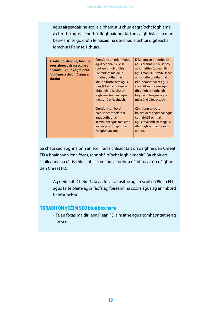agus airgeadais na scoile a bhainistiú chun eagraíocht foghlama a chruthú agus a chothú. Roghnaíonn siad an caighdeán seo mar baineann sé go dlúth le húsáid na dteicneolaíochtaí digiteacha iomchuí i Réimse 1 thuas.

| Acmhainní daonna, fisiciúla<br>agus airgeadais na scoile a<br>bhainistiú chun eagraíocht<br>foghlama a chruthú agus a<br>chothú | Cinntíonn an príomhoide<br>agus ceannairí eile sa<br>scoil go bhfuil próisis<br>i bhfeidhm maidir le<br>soláthar, cothabháil,<br>idir-inoibritheacht agus<br>slándáil an bhonneagair<br>dhigitigh le haghaidh<br>foghlaim, teagasc agus<br>measúnú éifeachtach. | Déanann an príomhoide<br>agus ceannairí eile sa scoil<br>athbhreithniú, pleanáil<br>agus maoirsiú straitéiseach<br>ar sholáthar, cothabháil,<br>idir-inoibritheacht agus<br>slándáil an bhonneagair<br>dhigitigh le haghaidh<br>foghlaim, teagasc agus<br>measúnú éifeachtach. |
|---------------------------------------------------------------------------------------------------------------------------------|-----------------------------------------------------------------------------------------------------------------------------------------------------------------------------------------------------------------------------------------------------------------|--------------------------------------------------------------------------------------------------------------------------------------------------------------------------------------------------------------------------------------------------------------------------------|
|                                                                                                                                 | Cinntíonn an bord<br>bainistíochta soláthar<br>agus cothabháil<br>acmhainní agus trealamh<br>an teagaisc dhigitigh ar<br>chaighdeán ard.                                                                                                                        | Cinntíonn an bord<br>bainistíochta soláthar agus<br>cothabháil acmhainní<br>agus trealamh an teagaisc<br>dhigitigh ar chaighdeán<br>an-ard.                                                                                                                                    |

Sa chaoi seo, roghnaíonn an scoil ráitis chleachtais ón dá ghné den Chreat FD a bhaineann lena fócas, rannpháirtíocht foghlaimeoirí. Ba chóir do scoileanna na ráitis chleachtais iomchuí a roghnú dá bhfócas ón dá ghné den Chreat FD.

 Ag deireadh Chéim 1, tá an fócas aimsithe ag an scoil dá Plean FD agus tá sé pléite agus faofa ag foireann na scoile agus ag an mbord bainistíochta.

## TORADH ÓN gCÉIM SEO blue box here

• Tá an fócas maidir lena Plean FD aimsithe agus comhaontaithe ag an scoil.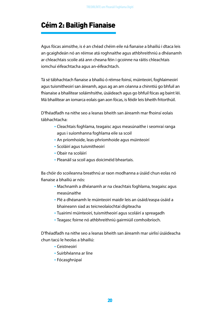## Céim 2: Bailigh Fianaise

Agus fócas aimsithe, is é an chéad chéim eile ná fianaise a bhailiú i dtaca leis an gcaighdeán nó an réimse atá roghnaithe agus athbhreithniú a dhéanamh ar chleachtais scoile atá ann cheana féin i gcoinne na ráitis chleachtais iomchuí éifeachtacha agus an-éifeachtach.

Tá sé tábhachtach fianaise a bhailiú ó réimse foinsí, múinteoirí, foghlaimeoirí agus tuismitheoirí san áireamh, agus ag an am céanna a chinntiú go bhfuil an fhianaise a bhailítear soláimhsithe, úsáideach agus go bhfuil fócas ag baint léi. Má bhailítear an iomarca eolais gan aon fócas, is féidir leis bheith fritorthúil.

D'fhéadfadh na nithe seo a leanas bheith san áireamh mar fhoinsí eolais tábhachtacha:

- Cleachtais foghlama, teagaisc agus measúnaithe i seomraí ranga agus i suíomhanna foghlama eile sa scoil
- An príomhoide, leas-phríomhoide agus múinteoirí
- Scoláirí agus tuismitheoirí
- Obair na scoláirí
- Pleanáil sa scoil agus doiciméid bheartais.

Ba chóir do scoileanna breathnú ar raon modhanna a úsáid chun eolas nó fianaise a bhailiú ar nós:

- Machnamh a dhéanamh ar na cleachtais foghlama, teagaisc agus measúnaithe
- Plé a dhéanamh le múinteoirí maidir leis an úsáid/easpa úsáid a bhaineann siad as teicneolaíochtaí digiteacha
- Tuairimí múinteoirí, tuismitheoirí agus scoláirí a spreagadh
- Teagasc foirne nó athbhreithniú gairmiúil comhoibríoch.

D'fhéadfadh na nithe seo a leanas bheith san áireamh mar uirlisí úsáideacha chun tacú le heolas a bhailiú:

- Ceistneoirí
- Suirbhéanna ar líne
- Fócasghrúpaí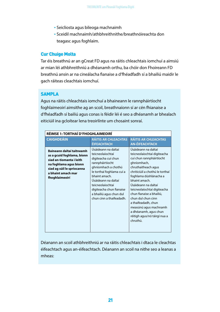- Seicliosta agus bileoga machnaimh
- Sceidil machnaimh/athbhreithnithe/breathnóireachta don teagasc agus foghlaim.

## Cur Chuige Molta

Tar éis breathnú ar an gCreat FD agus na ráitis chleachtais iomchuí a aimsiú ar mian léi athbhreithniú a dhéanamh orthu, ba chóir don Fhoireann FD breathnú ansin ar na cineálacha fianaise a d'fhéadfadh sí a bhailiú maidir le gach ráiteas cleachtais iomchuí.

## **SAMPLA**

Agus na ráitis chleachtais iomchuí a bhaineann le rannpháirtíocht foghlaimeoirí aimsithe ag an scoil, breathnaíonn sí ar cén fhianaise a d'fhéadfadh sí bailiú agus conas is féidir léi é seo a dhéanamh ar bhealach eiticiúil ina gcloítear lena treoirlínte um chosaint sonraí.

| <b>RÉIMSE 1: TORTHAÍ D'FHOGHLAIMEOIRÍ</b>                                                                                                                                           |                                                                                                                                                                                                                                                                                      |                                                                                                                                                                                                                                                                                                                                                                                                                                 |
|-------------------------------------------------------------------------------------------------------------------------------------------------------------------------------------|--------------------------------------------------------------------------------------------------------------------------------------------------------------------------------------------------------------------------------------------------------------------------------------|---------------------------------------------------------------------------------------------------------------------------------------------------------------------------------------------------------------------------------------------------------------------------------------------------------------------------------------------------------------------------------------------------------------------------------|
| <b>CAIGHDEÁIN</b>                                                                                                                                                                   | <b>RÁITIS AR CHLEACHTAS</b><br><b>ÉIFEACHTACH</b>                                                                                                                                                                                                                                    | RÁITIS AR CHLEACHTAS<br><b>AN-ÉIFEACHTACH</b>                                                                                                                                                                                                                                                                                                                                                                                   |
| Baineann daltaí taitneamh<br>as a gcuid foghlama, bíonn<br>siad an-tiomanta i leith<br>na foghlama agus bíonn<br>siad ag súil le spriocanna<br>a bhaint amach mar<br>fhoghlaimeoirí | Úsáideann na daltaí<br>teicneolaíochtaí<br>digiteacha cuí chun<br>rannpháirtíocht<br>ghníomhach a chothú<br>le torthaí foghlama cuí a<br>bhaint amach.<br>Úsáideann na daltaí<br>teicneolaíochtaí<br>digiteacha chun fianaise<br>a bhailiú agus chun dul<br>chun cinn a thaifeadadh. | Úsáideann na daltaí<br>teicneolaíochtaí digiteacha<br>cuí chun rannpháirtíocht<br>ghníomhach,<br>chruthaitheach agus<br>chriticiúil a chothú le torthaí<br>foghlama dúshlánacha a<br>bhaint amach.<br>Úsáideann na daltaí<br>teicneolaíochtaí digiteacha<br>chun fianaise a bhailiú,<br>chun dul chun cinn<br>a thaifeadadh, chun<br>measúnú agus machnamh<br>a dhéanamh, agus chun<br>réitigh agus/nó táirgí nua a<br>chruthú. |

Déanann an scoil athbhreithniú ar na ráitis chleachtais i dtaca le cleachtas éifeachtach agus an-éifeachtach. Déanann an scoil na nithe seo a leanas a mheas: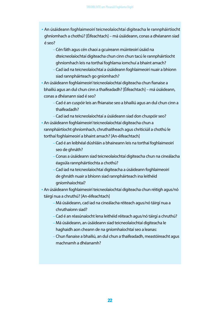- An úsáideann foghlaimeoirí teicneolaíochtaí digiteacha le rannpháirtíocht ghníomhach a chothú? [Éifeachtach] – má úsáideann, conas a dhéanann siad é seo?
	- Cén fáth agus cén chaoi a gcuireann múinteoirí úsáid na dteicneolaíochtaí digiteacha chun cinn chun tacú le rannpháirtíocht ghníomhach leis na torthaí foghlama iomchuí a bhaint amach?
	- Cad iad na teicneolaíochtaí a úsáideann foghlaimeoirí nuair a bhíonn siad rannpháirteach go gníomhach?
- An úsáideann foghlaimeoirí teicneolaíochtaí digiteacha chun fianaise a bhailiú agus an dul chun cinn a thaifeadadh? [Éifeachtach] – má úsáideann, conas a dhéanann siad é seo?
	- Cad é an cuspóir leis an fhianaise seo a bhailiú agus an dul chun cinn a thaifeadadh?
	- Cad iad na teicneolaíochtaí a úsáideann siad don chuspóir seo?
- An úsáideann foghlaimeoirí teicneolaíochtaí digiteacha chun a rannpháirtíocht ghníomhach, chruthaitheach agus chriticiúil a chothú le torthaí foghlaimeoirí a bhaint amach? [An-éifeachtach]
	- Cad é an leibhéal dúshláin a bhaineann leis na torthaí foghlaimeoirí seo de ghnáth?
	- Conas a úsáideann siad teicneolaíochtaí digiteacha chun na cineálacha éagsúla rannpháirtíochta a chothú?
	- Cad iad na teicneolaíochtaí digiteacha a úsáideann foghlaimeoirí de ghnáth nuair a bhíonn siad rannpháirteach ina leithéid gníomhaíochtaí?
- An úsáideann foghlaimeoirí teicneolaíochtaí digiteacha chun réitigh agus/nó táirgí nua a chruthú? [An-éifeachtach]
	- Má úsáideann, cad iad na cineálacha réiteach agus/nó táirgí nua a chruthaíonn siad?
	- Cad é an réasúnaíocht lena leithéid réiteach agus/nó táirgí a chruthú?
	- Má úsáideann, an úsáideann siad teicneolaíochtaí digiteacha le haghaidh aon cheann de na gníomhaíochtaí seo a leanas:
	- Chun fianaise a bhailiú, an dul chun a thaifeadadh, meastóireacht agus machnamh a dhéanamh?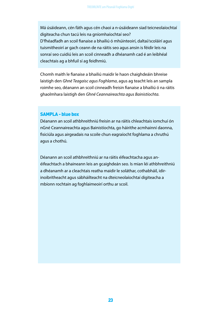Má úsáideann, cén fáth agus cén chaoi a n-úsáideann siad teicneolaíochtaí digiteacha chun tacú leis na gníomhaíochtaí seo? D'fhéadfadh an scoil fianaise a bhailiú ó mhúinteoirí, daltaí/scoláirí agus tuismitheoirí ar gach ceann de na ráitis seo agus ansin is féidir leis na sonraí seo cuidiú leis an scoil cinneadh a dhéanamh cad é an leibhéal cleachtais ag a bhfuil sí ag feidhmiú.

Chomh maith le fianaise a bhailiú maidir le haon chaighdeáin bhreise laistigh den *Ghné Teagaisc agus Foghlama*, agus ag teacht leis an sampla roimhe seo, déanann an scoil cinneadh freisin fianaise a bhailiú ó na ráitis ghaolmhara laistigh den *Ghné Ceannaireachta agus Bainistíochta.*

#### SAMPLA - blue box

Déanann an scoil athbhreithniú freisin ar na ráitis chleachtais iomchuí ón nGné Ceannaireachta agus Bainistíochta, go háirithe acmhainní daonna, fisiciúla agus airgeadais na scoile chun eagraíocht foghlama a chruthú agus a chothú.

Déanann an scoil athbhreithniú ar na ráitis éifeachtacha agus anéifeachtach a bhaineann leis an gcaighdeán seo. Is mian léi athbhreithniú a dhéanamh ar a cleachtais reatha maidir le soláthar, cothabháil, idirinoibritheacht agus sábháilteacht na dteicneolaíochtaí digiteacha a mbíonn rochtain ag foghlaimeoirí orthu ar scoil.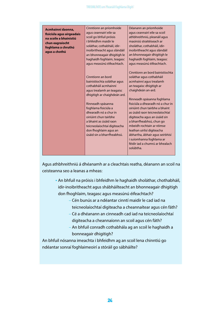| Acmhainní daonna,<br>fisiciúla agus airgeadais<br>na scoile a bhainistiú<br>chun eagraíocht<br>foghlama a chruthú<br>agus a chothú | Cinntíonn an príomhoide<br>agus ceannairí eile sa<br>scoil go bhfuil próisis<br><i>i</i> bhfeidhm maidir le<br>soláthar, cothabháil, idir-<br>inoibritheacht agus slándáil<br>an bhonneagair dhigitigh le<br>haghaidh foghlaim, teagasc<br>agus measúnú éifeachtach.                                                                                 | Déanann an príomhoide<br>agus ceannairí eile sa scoil<br>athbhreithniú, pleanáil agus<br>maoirsiú straitéiseach ar<br>sholáthar, cothabháil, idir-<br>inoibritheacht agus slándáil<br>an bhonneagair dhigitigh le<br>haghaidh foghlaim, teagasc<br>agus measúnú éifeachtach.                                                                                                                                                                                                                                          |
|------------------------------------------------------------------------------------------------------------------------------------|------------------------------------------------------------------------------------------------------------------------------------------------------------------------------------------------------------------------------------------------------------------------------------------------------------------------------------------------------|-----------------------------------------------------------------------------------------------------------------------------------------------------------------------------------------------------------------------------------------------------------------------------------------------------------------------------------------------------------------------------------------------------------------------------------------------------------------------------------------------------------------------|
|                                                                                                                                    | Cinntíonn an bord<br>bainistíochta soláthar agus<br>cothabháil acmhainní<br>agus trealamh an teagaisc<br>dhigitigh ar chaighdeán ard.<br>Rinneadh spásanna<br>foghlama fisiciúla a<br>dhearadh nó a chur in<br>oiriúint chun tairbhe<br>a bhaint as úsáid raon<br>teicneolaíochtaí digiteacha<br>don fhoghlaim agus an<br>úsáid sin a bharrfheabhsú. | Cinntíonn an bord bainistíochta<br>soláthar agus cothabháil<br>acmhainní agus trealamh<br>an teagaisc dhigitigh ar<br>chaighdeán an-ard.<br>Rinneadh spásanna foghlama<br>fisiciúla a dhearadh nó a chur in<br>oiriúint chun tairbhe a bhaint<br>as úsáid raon teicneolaíochtaí<br>digiteacha agus an úsáid sin<br>a bharrfheabhsú, chun go<br>mbeidh rochtain ar réimse<br>leathan uirlisí digiteacha<br>ábhartha, ábhair agus seirbhísí<br>i suíomhanna foghlama ar<br>féidir iad a chumrú ar bhealach<br>solúbtha. |

Agus athbhreithniú á dhéanamh ar a cleachtais reatha, déanann an scoil na ceisteanna seo a leanas a mheas:

- An bhfuil na próisis i bhfeidhm le haghaidh sholáthar, chothabháil, idir-inoibritheacht agus shábháilteacht an bhonneagair dhigitigh don fhoghlaim, teagasc agus measúnú éifeachtach?
	- Cén bunús ar a ndéantar cinntí maidir le cad iad na
	- teicneolaíochtaí digiteacha a cheannaítear agus cén fáth?
	- Cé a dhéanann an cinneadh cad iad na teicneolaíochtaí digiteacha a cheannaíonn an scoil agus cén fáth?
	- An bhfuil conradh cothabhála ag an scoil le haghaidh a bonneagair dhigitigh?

An bhfuil nósanna imeachta i bhfeidhm ag an scoil lena chinntiú go ndéantar sonraí foghlaimeoirí a stóráil go sábháilte?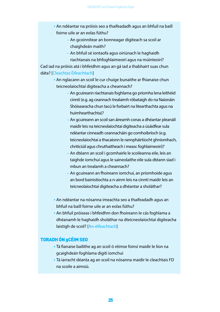- An ndéantar na próisis seo a thaifeadadh agus an bhfuil na baill foirne uile ar an eolas fúthu?
	- An gcoinnítear an bonneagar digiteach sa scoil ar chaighdeán maith?
	- An bhfuil sé iontaofa agus oiriúnach le haghaidh riachtanais na bhfoghlaimeoirí agus na múinteoirí?

Cad iad na próisis atá i bhfeidhm agus an gá iad a thabhairt suas chun dáta? [Cleachtas Éifeachtach]

- An nglacann an scoil le cur chuige bunaithe ar fhianaise chun teicneolaíochtaí digiteacha a cheannach?
	- An gcuireann riachtanais foghlama go príomha lena leithéid cinntí (e.g. ag ceannach trealaimh róbataigh do na Naíonáin Shóisearacha chun tacú le forbairt na litearthachta agus na huimhearthachta)?
	- An gcuireann an scoil san áireamh conas a dhéantar pleanáil maidir leis na teicneolaíochtaí digiteacha a úsáidfear sula ndéantar cinneadh ceannacháin go comhoibríoch (e.g. teicneolaíochtaí a thacaíonn le rannpháirtíocht ghníomhach, chriticiúil agus chruthaitheach i measc foghlaimeoirí)?
	- An dtéann an scoil i gcomhairle le scoileanna eile, leis an taighde iomchuí agus le saineolaithe eile sula dtéann siad i mbun an trealamh a cheannach?
	- An gcuireann an fhoireann iomchuí, an príomhoide agus an bord bainistíochta a n-ainm leis na cinntí maidir leis an teicneolaíochtaí digiteacha a dhéantar a sholáthar?
- An ndéantar na nósanna imeachta seo a thaifeadadh agus an bhfuil na baill foirne uile ar an eolas fúthu?
- An bhfuil próiseas i bhfeidhm don fhoireann le cás foghlama a dhéanamh le haghaidh sholáthar na dteicneolaíochtaí digiteacha laistigh de scoil? [An-éifeachtach]

## TORADH ÓN gCÉIM SEO

- Tá fianaise bailithe ag an scoil ó réimse foinsí maidir le líon na gcaighdeán foghlama digití iomchuí
- Tá iarracht déanta ag an scoil na nósanna maidir le cleachtais FD na scoile a aimsiú.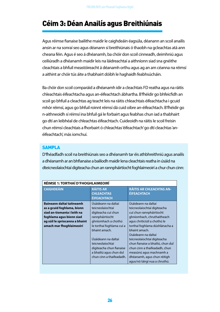## Céim 3: Déan Anailís agus Breithiúnais

Agus réimse fianaise bailithe maidir le caighdeáin éagsúla, déanann an scoil anailís ansin ar na sonraí seo agus déanann sí breithiúnais ó thaobh na gcleachtas atá ann cheana féin. Agus é seo á dhéanamh, ba chóir don scoil cinneadh, deimhniú agus ceiliúradh a dhéanamh maidir leis na láidreachtaí a aithníonn siad sna gnéithe cleachtais a bhfuil meastóireacht á déanamh orthu agus ag an am céanna na réimsí a aithint ar chóir tús áite a thabhairt dóibh le haghaidh feabhsúcháin.

Ba chóir don scoil comparáid a dhéanamh idir a cleachtais FD reatha agus na ráitis chleachtais éifeachtacha agus an-éifeachtach ábhartha. B'fhéidir go bhfeicfidh an scoil go bhfuil a cleachtas ag teacht leis na ráitis chleachtais éifeachtacha i gcuid mhór réimsí, agus go bhfuil roinnt réimsí dá cuid oibre an-éifeachtach. B'fhéidir go n-aithneoidh sí réimsí ina bhfuil gá le forbairt agus feabhas chun iad a thabhairt go dtí an leibhéal de chleachtas éifeachtach. Cuideoidh na ráitis le scoil freisin chun réimsí cleachtais a fhorbairt ó chleachtas 'éifeachtach' go dtí cleachtas 'anéifeachtach', más iomchuí.

### **SAMPLA**

D'fhéadfadh scoil na breithiúnais seo a dhéanamh tar éis athbhreithniú agus anailís a dhéanamh ar an bhfianaise a bailíodh maidir lena cleachtais reatha in úsáid na dteicneolaíochtaí digiteacha chun an rannpháirtíocht foghlaimeoirí a chur chun cinn:

| RÉIMSE 1: TORTHAÍ D'FHOGHLAIMEOIRÍ                                                     |                                                                                                                            |                                                                                                                                                             |
|----------------------------------------------------------------------------------------|----------------------------------------------------------------------------------------------------------------------------|-------------------------------------------------------------------------------------------------------------------------------------------------------------|
| <b>CAIGHDEÁIN</b>                                                                      | <b>RÁITIS AR</b><br><b>CHLEACHTAS</b><br><b>ÉIFEACHTACH</b>                                                                | RÁITIS AR CHLEACHTAS AN-<br><b>ÉIFEACHTACH</b>                                                                                                              |
| Baineann daltaí taitneamh<br>as a gcuid foghlama, bíonn<br>siad an-tiomanta i leith na | Úsáideann na daltaí<br>teicneolaíochtaí<br>digiteacha cuí chun                                                             | Úsáideann na daltaí<br>teicneolaíochtaí digiteacha<br>cuí chun rannpháirtíocht                                                                              |
| foghlama agus bíonn siad<br>ag súil le spriocanna a bhaint<br>amach mar fhoghlaimeoirí | rannpháirtíocht<br>ghníomhach a chothú<br>le torthaí foghlama cuí a                                                        | ghníomhach, chruthaitheach<br>aqus chriticiúil a chothú le<br>torthaí foghlama dúshlánacha a                                                                |
|                                                                                        | bhaint amach.                                                                                                              | bhaint amach.<br>Úsáideann na daltaí                                                                                                                        |
|                                                                                        | Úsáideann na daltaí<br>teicneolaíochtaí<br>digiteacha chun fianaise<br>a bhailiú agus chun dul<br>chun cinn a thaifeadadh. | teicneolaíochtaí digiteacha<br>chun fianaise a bhailiú, chun dul<br>chun cinn a thaifeadadh, chun<br>measúnú agus machnamh a<br>dhéanamh, agus chun réitigh |
|                                                                                        |                                                                                                                            | agus/nó táirgí nua a chruthú.                                                                                                                               |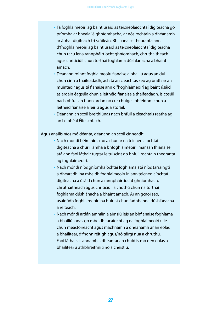- Tá foghlaimeoirí ag baint úsáid as teicneolaíochtaí digiteacha go príomha ar bhealaí éighníomhacha, ar nós rochtain a dhéanamh ar ábhar digiteach trí scáileán. Bhí fianaise theoranta ann d'fhoghlaimeoirí ag baint úsáid as teicneolaíochtaí digiteacha chun tacú lena rannpháirtíocht ghníomhach, chruthaitheach agus chriticiúil chun torthaí foghlama dúshlánacha a bhaint amach.
- Déanann roinnt foghlaimeoirí fianaise a bhailiú agus an dul chun cinn a thaifeadadh, ach tá an cleachtas seo ag brath ar an múinteoir agus tá fianaise ann d'fhoghlaimeoirí ag baint úsáid as ardáin éagsúla chun a leithéid fianaise a thaifeadadh. Is cosúil nach bhfuil an t-aon ardán nó cur chuige i bhfeidhm chun a leithéid fianaise a léiriú agus a stóráil.
- Déanann an scoil breithiúnas nach bhfuil a cleachtais reatha ag an Leibhéal Éifeachtach.

Agus anailís níos mó déanta, déanann an scoil cinneadh:

- Nach mór di béim níos mó a chur ar na teicneolaíochtaí digiteacha a chur i lámha a bhfoghlaimeoirí, mar san fhianaise atá ann faoi láthair tugtar le tuiscint go bhfuil rochtain theoranta ag foghlaimeoirí.
- Nach mór di níos gníomhaíochtaí foghlama atá níos tarraingtí a dhearadh ina mbeidh foghlaimeoirí in ann teicneolaíochtaí digiteacha a úsáid chun a rannpháirtíocht ghníomhach, chruthaitheach agus chriticiúil a chothú chun na torthaí foghlama dúshlánacha a bhaint amach. Ar an gcaoi seo, úsáidfidh foghlaimeoirí na huirlisí chun fadhbanna dúshlánacha a réiteach.
- Nach mór di ardán amháin a aimsiú leis an bhfianaise foghlama a bhailiú ionas go mbeidh tacaíocht ag na foghlaimeoirí uile chun meastóireacht agus machnamh a dhéanamh ar an eolas a bhailítear, d'fhonn réitigh agus/nó táirgí nua a chruthú. Faoi láthair, is annamh a dhéantar an chuid is mó den eolas a bhailítear a athbhreithniú nó a cheistiú.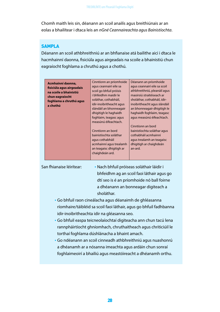Chomh maith leis sin, déanann an scoil anailís agus breithiúnais ar an eolas a bhailítear i dtaca leis an *nGné Ceannaireachta agus Bainistíochta*.

## **SAMPLA**

Déanann an scoil athbhreithniú ar an bhfianaise atá bailithe aici i dtaca le hacmhainní daonna, fisiciúla agus airgeadais na scoile a bhainistiú chun eagraíocht foghlama a chruthú agus a chothú.

| scoil go bhfuil próisis<br>athbhreithniú, pleanáil agus<br>na scoile a bhainistiú<br>i bhfeidhm maidir le<br>maoirsiú straitéiseach ar<br>chun eagraíocht<br>soláthar, cothabháil,<br>sholáthar, cothabháil, idir-<br>foghlama a chruthú agus<br>idir-inoibritheacht agus<br>inoibritheacht agus slándáil<br>a chothú<br>slándáil an bhonneagair<br>an bhonneagair dhigitigh le<br>dhigitigh le haghaidh<br>haghaidh foghlaim, teagasc<br>agus measúnú éifeachtach.<br>foghlaim, teagasc agus<br>measúnú éifeachtach.<br>Cinntíonn an bord<br>Cinntíonn an bord<br>bainistíochta soláthar agus<br>cothabháil acmhainní<br>bainistíochta soláthar<br>agus cothabháil<br>agus trealamh an teagaisc<br>acmhainní agus trealamh<br>dhigitigh ar chaighdeán<br>an teagaisc dhigitigh ar<br>an-ard.<br>chaighdeán ard. |
|------------------------------------------------------------------------------------------------------------------------------------------------------------------------------------------------------------------------------------------------------------------------------------------------------------------------------------------------------------------------------------------------------------------------------------------------------------------------------------------------------------------------------------------------------------------------------------------------------------------------------------------------------------------------------------------------------------------------------------------------------------------------------------------------------------------|
|------------------------------------------------------------------------------------------------------------------------------------------------------------------------------------------------------------------------------------------------------------------------------------------------------------------------------------------------------------------------------------------------------------------------------------------------------------------------------------------------------------------------------------------------------------------------------------------------------------------------------------------------------------------------------------------------------------------------------------------------------------------------------------------------------------------|

San fhianaise léirítear: • Nach bhfuil próiseas soláthair láidir i bhfeidhm ag an scoil faoi láthair agus go dtí seo is é an príomhoide nó ball foirne a dhéanann an bonneagar digiteach a sholáthar.

- Go bhfuil raon cineálacha agus déanaimh de ghléasanna ríomhaire/táibléid sa scoil faoi láthair, agus go bhfuil fadhbanna idir-inoibritheachta idir na gléasanna seo.
- Go bhfuil easpa teicneolaíochtaí digiteacha ann chun tacú lena rannpháirtíocht ghníomhach, chruthaitheach agus chriticiúil le torthaí foghlama dúshlánacha a bhaint amach.
- Go ndéanann an scoil cinneadh athbhreithniú agus nuashonrú a dhéanamh ar a nósanna imeachta agus ardáin chun sonraí foghlaimeoirí a bhailiú agus meastóireacht a dhéanamh orthu.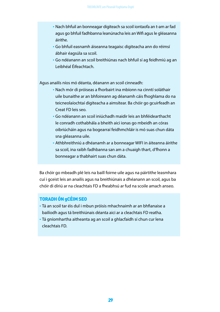- Nach bhfuil an bonneagar digiteach sa scoil iontaofa an t-am ar fad agus go bhfuil fadhbanna leanúnacha leis an Wifi agus le gléasanna áirithe.
- Go bhfuil easnamh áiseanna teagaisc digiteacha ann do réimsí ábhair éagsúla sa scoil.
- Go ndéanann an scoil breithiúnas nach bhfuil sí ag feidhmiú ag an Leibhéal Éifeachtach.

Agus anailís níos mó déanta, déanann an scoil cinneadh:

- Nach mór di próiseas a fhorbairt ina mbíonn na cinntí soláthair uile bunaithe ar an bhfoireann ag déanamh cáis fhoghlama do na teicneolaíochtaí digiteacha a aimsítear. Ba chóir go gcuirfeadh an Creat FD leis seo.
- Go ndéanann an scoil iniúchadh maidir leis an bhféidearthacht le conradh cothabhála a bheith aici ionas go mbeidh an córas oibriúcháin agus na bogearraí feidhmchláir is mó suas chun dáta sna gléasanna uile.
- Athbhreithniú a dhéanamh ar a bonneagar WIFI in áiteanna áirithe sa scoil, ina raibh fadhbanna san am a chuaigh thart, d'fhonn a bonneagar a thabhairt suas chun dáta.

Ba chóir go mbeadh plé leis na baill foirne uile agus na páirtithe leasmhara cuí i gceist leis an anailís agus na breithiúnais a dhéanann an scoil, agus ba chóir di díriú ar na cleachtais FD a fheabhsú ar fud na scoile amach anseo.

## TORADH ÓN gCÉIM SEO

- Tá an scoil tar éis dul i mbun próisis mhachnaimh ar an bhfianaise a bailíodh agus tá breithiúnais déanta aici ar a cleachtais FD reatha.
- Tá gníomhartha aitheanta ag an scoil a ghlacfaidh sí chun cur lena cleachtais FD.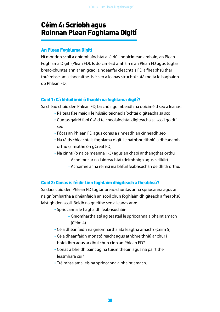## Céim 4: Scríobh agus Roinnan Plean Foghlama Digití

## An Plean Foghlama Digití

Ní mór don scoil a gníomhaíochtaí a léiriú i ndoiciméad amháin, an Plean Foghlama Digití (Plean FD). Is doiciméad amháin é an Plean FD agus tugtar breac-chuntas ann ar an gcaoi a ndéanfar cleachtais FD a fheabhsú thar thréimhse ama shocraithe. Is é seo a leanas struchtúr atá molta le haghaidh do Phlean FD:

## Cuid 1: Cá bhfuilimid ó thaobh na foghlama digití?

Sa chéad chuid den Phlean FD, ba chóir go mbeadh na doiciméid seo a leanas:

- Ráiteas físe maidir le húsáid teicneolaíochtaí digiteacha sa scoil
- Cuntas gairid faoi úsáid teicneolaíochtaí digiteacha sa scoil go dtí seo
- Fócas an Phlean FD agus conas a rinneadh an cinneadh seo
- Na ráitis chleachtais foghlama digití le hathbhreithniú a dhéanamh orthu (aimsithe ón gCreat FD)
- Na cinntí (ó na céimeanna 1-3) agus an chaoi ar thángthas orthu
	- Achoimre ar na láidreachtaí (deimhnigh agus ceiliúir)
	- Achoimre ar na réimsí ina bhfuil feabhsúchán de dhíth orthu.

## Cuid 2: Conas is féidir linn foghlaim dhigiteach a fheabhsú?

Sa dara cuid den Phlean FD tugtar breac-chuntas ar na spriocanna agus ar na gníomhartha a dhéanfaidh an scoil chun foghlaim dhigiteach a fheabhsú laistigh den scoil. Beidh na gnéithe seo a leanas ann:

- Spriocanna le haghaidh feabhsúcháin
	- Gníomhartha atá ag teastáil le spriocanna a bhaint amach (Céim 4)
- Cé a dhéanfaidh na gníomhartha atá leagtha amach? (Céim 5)
- Cé a dhéanfaidh monatóireacht agus athbhreithniú ar chur i bhfeidhm agus ar dhul chun cinn an Phlean FD?
- Conas a bheidh baint ag na tuismitheoirí agus na páirtithe leasmhara cuí?
- Tréimhse ama leis na spriocanna a bhaint amach.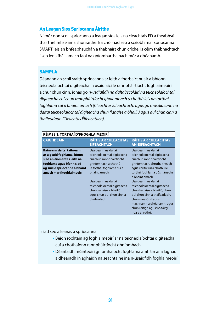## Ag Leagan Síos Spriocanna Áirithe

Ní mór don scoil spriocanna a leagan síos leis na cleachtais FD a fheabhsú thar thréimhse ama shonraithe. Ba chóir iad seo a scríobh mar spriocanna SMART leis an bhfeabhsúchán a thabhairt chun críche. Is céim thábhachtach í seo lena fháil amach faoi na gníomhartha nach mór a dhéanamh.

## **SAMPLA**

Déanann an scoil sraith spriocanna ar leith a fhorbairt nuair a bhíonn teicneolaíochtaí digiteacha in úsáid aici le rannpháirtíocht foghlaimeoirí a chur chun cinn, ionas go *n-úsáidfidh na daltaí/scoláirí na teicneolaíochtaí digiteacha cuí chun rannpháirtíocht ghníomhach a chothú leis na torthaí foghlama cuí a bhaint amach (Cleachtas Éifeachtach) agus go n-úsáideann na daltaí teicneolaíochtaí digiteacha chun fianaise a bhailiú agus dul chun cinn a thaifeadadh (Cleachtas Éifeachtach)*.

| RÉIMSE 1: TORTHAÍ D'FHOGHLAIMEOIRÍ                                                                                                                                               |                                                                                                                                                                                                                                                                                   |                                                                                                                                                                                                                                                                                                                                                                                                                           |
|----------------------------------------------------------------------------------------------------------------------------------------------------------------------------------|-----------------------------------------------------------------------------------------------------------------------------------------------------------------------------------------------------------------------------------------------------------------------------------|---------------------------------------------------------------------------------------------------------------------------------------------------------------------------------------------------------------------------------------------------------------------------------------------------------------------------------------------------------------------------------------------------------------------------|
| <b>CAIGHDEÁIN</b>                                                                                                                                                                | <b>RÁITIS AR CHLEACHTAS</b><br><b>ÉIFEACHTACH</b>                                                                                                                                                                                                                                 | <b>RÁITIS AR CHLEACHTAS</b><br><b>AN-ÉIFEACHTACH</b>                                                                                                                                                                                                                                                                                                                                                                      |
| Baineann daltaí taitneamh<br>as a gcuid foghlama, bíonn<br>siad an-tiomanta i leith na<br>foghlama agus bíonn siad<br>ag súil le spriocanna a bhaint<br>amach mar fhoghlaimeoirí | Úsáideann na daltaí<br>teicneolaíochtaí digiteacha<br>cuí chun rannpháirtíocht<br>ghníomhach a chothú<br>le torthaí foghlama cuí a<br>bhaint amach.<br>Úsáideann na daltaí<br>teicneolaíochtaí digiteacha<br>chun fianaise a bhailiú<br>agus chun dul chun cinn a<br>thaifeadadh. | Úsáideann na daltaí<br>teicneolaíochtaí digiteacha<br>cuí chun rannpháirtíocht<br>ghníomhach, chruthaitheach<br>agus chriticiúil a chothú le<br>torthaí foghlama dúshlánacha<br>a bhaint amach.<br>Úsáideann na daltaí<br>teicneolaíochtaí digiteacha<br>chun fianaise a bhailiú, chun<br>dul chun cinn a thaifeadadh,<br>chun measúnú agus<br>machnamh a dhéanamh, agus<br>chun réitigh agus/nó táirgí<br>nua a chruthú. |

Is iad seo a leanas a spriocanna:

- Beidh rochtain ag foghlaimeoirí ar na teicneolaíochtaí digiteacha cuí a chothaíonn rannpháirtíocht ghníomhach.
- Déanfaidh múinteoirí gníomhaíocht foghlama amháin ar a laghad a dhearadh in aghaidh na seachtaine ina n-úsáidfidh foghlaimeoirí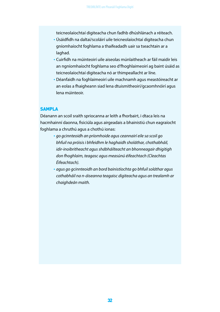teicneolaíochtaí digiteacha chun fadhb dhúshlánach a réiteach.

- Úsáidfidh na daltaí/scoláirí uile teicneolaíochtaí digiteacha chun gníomhaíocht foghlama a thaifeadadh uair sa tseachtain ar a laghad.
- Cuirfidh na múinteoirí uile aiseolas múnlaitheach ar fáil maidir leis an ngníomhaíocht foghlama seo d'fhoghlaimeoirí ag baint úsáid as teicneolaíochtaí digiteacha nó ar thimpeallacht ar líne.
- Déanfaidh na foghlaimeoirí uile machnamh agus meastóireacht ar an eolas a fhaigheann siad lena dtuismitheoirí/gcaomhnóirí agus lena múinteoir.

#### **SAMPLA**

Déanann an scoil sraith spriocanna ar leith a fhorbairt, i dtaca leis na hacmhainní daonna, fisiciúla agus airgeadais a bhainistiú chun eagraíocht foghlama a chruthú agus a chothú ionas:

- *go gcinnteoidh an príomhoide agus ceannairí eile sa scoil go bhfuil na próisis i bhfeidhm le haghaidh sholáthar, chothabháil, idir-inoibritheacht agus shábháilteacht an bhonneagair dhigitigh don fhoghlaim, teagasc agus measúnú éifeachtach (Cleachtas Éifeachtach).*
- *agus go gcinnteoidh an bord bainistíochta go bhfuil soláthar agus cothabháil na n-áiseanna teagaisc digiteacha agus an trealamh ar chaighdeán maith.*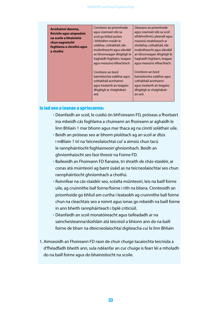| Acmhainní daonna,<br>fisiciúla agus airgeadais<br>na scoile a bhainistiú<br>chun eagraíocht<br>foghlama a chruthú agus<br>a chothú | Cinntíonn an príomhoide<br>agus ceannairí eile sa<br>scoil go bhfuil próisis<br>i bhfeidhm maidir le<br>soláthar, cothabháil, idir-<br>inoibritheacht agus slándáil<br>an bhonneagair dhigitigh le<br>haghaidh foghlaim, teagasc<br>agus measúnú éifeachtach. | Déanann an príomhoide<br>agus ceannairí eile sa scoil<br>athbhreithniú, pleanáil agus<br>maoirsiú straitéiseach ar<br>sholáthar, cothabháil, idir-<br>inoibritheacht agus slándáil<br>an bhonneagair dhigitigh le<br>haghaidh foghlaim, teagasc<br>agus measúnú éifeachtach. |
|------------------------------------------------------------------------------------------------------------------------------------|---------------------------------------------------------------------------------------------------------------------------------------------------------------------------------------------------------------------------------------------------------------|------------------------------------------------------------------------------------------------------------------------------------------------------------------------------------------------------------------------------------------------------------------------------|
|                                                                                                                                    | Cinntíonn an bord<br>bainistíochta soláthar agus<br>cothabháil acmhainní<br>agus trealamh an teagaisc<br>dhigitigh ar chaighdeán<br>ard.                                                                                                                      | Cinntíonn an bord<br>bainistíochta soláthar agus<br>cothabháil acmhainní<br>agus trealamh an teagaisc<br>dhigitigh ar chaighdeán<br>an-ard.                                                                                                                                  |

#### Is iad seo a leanas a spriocanna:

- Déanfaidh an scoil, le cuidiú ón bhFoireann FD, próiseas a fhorbairt ina mbeidh cás foghlama a chuireann an fhoireann ar aghaidh le linn Bhliain 1 mar bhonn agus mar thaca ag na cinntí soláthair uile.
- Beidh an próiseas seo ar bhonn píolótach ag an scoil ar dtús i mBliain 1 trí na 'teicneolaíochtaí cuí' a aimsiú chun tacú le rannpháirtíocht foghlaimeoirí ghníomhach. Beidh an ghníomhaíocht seo faoi threoir na Foirne FD.
- Baileoidh an Fhoireann FD fianaise, trí shraith de chás-staidéir, ar conas atá múinteoirí ag baint úsáid as na teicneolaíochtaí seo chun rannpháirtíocht ghníomhach a chothú.
- Roinnfear na cás-staidéir seo, scéalta múinteoirí, leis na baill foirne uile, ag cruinnithe ball foirne/foirne i rith na bliana. Cinnteoidh an príomhoide go bhfuil am curtha i leataobh ag cruinnithe ball foirne chun na cleachtais seo a roinnt agus ionas go mbeidh na baill foirne in ann bheith rannpháirteach i bplé criticiúil.
- Déanfaidh an scoil monatóireacht agus taifeadadh ar na saincheisteanna/dúshláin atá teicniúil a bhíonn ann do na baill foirne de bharr na dteicneolaíochtaí digiteacha cuí le linn Bhliain
- 1. Aimseoidh an Fhoireann FD raon de chuir chuige tacaíochta teicniúla a d'fhéadfadh bheith ann, sula ndéanfar an cur chuige is fearr léi a mholadh do na baill foirne agus do bhainistíocht na scoile.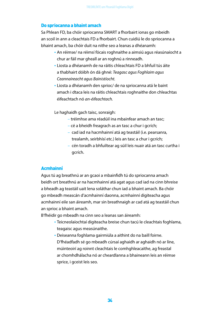## Do spriocanna a bhaint amach

Sa Phlean FD, ba chóir spriocanna SMART a fhorbairt ionas go mbeidh an scoil in ann a cleachtais FD a fhorbairt. Chun cuidiú le do spriocanna a bhaint amach, ba chóir duit na nithe seo a leanas a dhéanamh:

- An réimse/ na réimsí fócais roghnaithe a aimsiú agus réasúnaíocht a chur ar fáil mar gheall ar an roghnú a rinneadh.
- Liosta a dhéanamh de na ráitis chleachtais FD a bhfuil tús áite a thabhairt dóibh ón dá ghné: *Teagasc agus Foghlaim agus Ceannaireacht agus Bainistíocht.*
- Liosta a dhéanamh den sprioc/ de na spriocanna atá le baint amach i dtaca leis na ráitis chleachtais roghnaithe don chleachtas éifeachtach nó *an-éifeachtach.*

Le haghaidh gach taisc, sonraigh:

- tréimhse ama réadúil ina mbainfear amach an tasc;
- cé a bheidh freagrach as an tasc a chur i gcrích;
- cad iad na hacmhainní atá ag teastáil (i.e. pearsanra, trealamh, seirbhísí etc.) leis an tasc a chur i gcrích;
- cén toradh a bhfuiltear ag súil leis nuair atá an tasc curtha i gcrích.

## Acmhainní

Agus tú ag breathnú ar an gcaoi a mbainfidh tú do spriocanna amach beidh ort breathnú ar na hacmhainní atá agat agus cad iad na cinn bhreise a bheadh ag teastáil uait lena soláthar chun iad a bhaint amach. Ba chóir go mbeadh meascán d'acmhainní daonna, acmhainní digiteacha agus acmhainní eile san áireamh, mar sin breathnaigh ar cad atá ag teastáil chun an sprioc a bhaint amach.

B'fhéidir go mbeadh na cinn seo a leanas san áireamh:

- Teicneolaíochtaí digiteacha breise chun tacú le cleachtais foghlama, teagaisc agus measúnaithe.
- Deiseanna foghlama gairmiúla a aithint do na baill foirne. D'fhéadfadh sé go mbeadh cúrsaí aghaidh ar aghaidh nó ar líne, múinteoirí ag roinnt cleachtais le comhghleacaithe, ag freastal ar chomhdhálacha nó ar cheardlanna a bhaineann leis an réimse sprice, i gceist leis seo.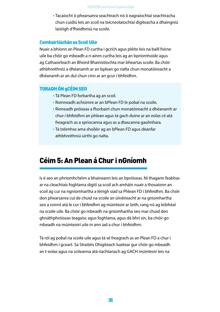• Tacaíocht ó phearsanra seachtrach nó ó eagraíochtaí seachtracha chun cuidiú leis an scoil na teicneolaíochtaí digiteacha a dhaingniú laistigh d'fheidhmiú na scoile.

### Comhairliúchán sa Scoil Uile

Nuair a bhíonn an Plean FD curtha i gcrích agus pléite leis na baill foirne uile ba chóir go mbeadh a n-ainm curtha leis ag an bpríomhoide agus ag Cathaoirleach an Bhoird Bhainistíochta mar bheartas scoile. Ba chóir athbhreithniú a dhéanamh ar an bplean go rialta chun monatóireacht a dhéanamh ar an dul chun cinn ar an gcur i bhfeidhm.

## TORADH ÓN gCÉIM SEO

- Tá Plean FD forbartha ag an scoil.
- Roinneadh achoimre ar an bPlean FD le pobal na scoile.
- Rinneadh próiseas a fhorbairt chun monatóireacht a dhéanamh ar chur i bhfeidhm an phlean agus tá gach duine ar an eolas cé atá freagrach as a spriocanna agus as a dtascanna gaolmhara.
- Tá tréimhse ama shoiléir ag an bPlean FD agus déanfar athbhreithniú uirthi go rialta.

## Céim 5: An Plean á Chur i nGníomh

Is é seo an phríomhchéim a bhaineann leis an bpróiseas. Ní thagann feabhas ar na cleachtais foghlama digití sa scoil ach amháin nuair a thosaíonn an scoil ag cur na ngníomhartha a léirigh siad sa Phlean FD i bhfeidhm. Ba chóir don phearsanra cuí de chuid na scoile an úinéireacht ar na gníomhartha seo a roinnt atá le cur i bhfeidhm ag múinteoir ar leith, rang nó ag leibhéal na scoile uile. Ba chóir go mbeadh na gníomhartha seo mar chuid den ghnáthphróiseas teagaisc agus foghlama, agus dá bhrí sin, ba chóir go mbeadh na múinteoirí uile in ann iad a chur i bhfeidhm.

Tá ról ag pobal na scoile uile agus tá sé freagrach as an Plean FD a chur i bhfeidhm i gceart. Sa Straitéis Dhigiteach luaitear gur chóir go mbeadh an t-eolas agus na scileanna atá riachtanach ag GACH múinteoir leis na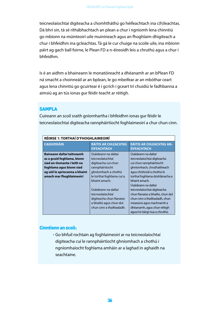teicneolaíochtaí digiteacha a chomhtháthú go héifeachtach ina c(h)leachtas. Dá bhrí sin, tá sé ríthábhachtach an plean a chur i ngníomh lena chinntiú go mbíonn na múinteoirí uile muiníneach agus an fhoghlaim dhigiteach a chur i bhfeidhm ina gcleachtas. Tá gá le cur chuige na scoile uile, ina mbíonn páirt ag gach ball foirne, le Plean FD a n-éireoidh leis a chruthú agus a chur i bhfeidhm.

Is é an aidhm a bhaineann le monatóireacht a dhéanamh ar an bPlean FD ná smacht a choinneáil ar an bplean, le go mbeifear ar an mbóthar ceart agus lena chinntiú go gcuirtear é i gcrích i gceart trí chuidiú le fadhbanna a aimsiú ag an tús ionas gur féidir teacht ar réitigh.

## **SAMPLA**

Cuireann an scoil sraith gníomhartha i bhfeidhm ionas gur féidir le teicneolaíochtaí digiteacha rannpháirtíocht foghlaimeoirí a chur chun cinn.

| RÉIMSE 1: TORTHAÍ D'FHOGHLAIMEOIRÍ                                                                                                                                               |                                                                                                                                                                                                                                                                                      |                                                                                                                                                                                                                                                                                                                                                                                       |
|----------------------------------------------------------------------------------------------------------------------------------------------------------------------------------|--------------------------------------------------------------------------------------------------------------------------------------------------------------------------------------------------------------------------------------------------------------------------------------|---------------------------------------------------------------------------------------------------------------------------------------------------------------------------------------------------------------------------------------------------------------------------------------------------------------------------------------------------------------------------------------|
| <b>CAIGHDEÁIN</b>                                                                                                                                                                | <b>RÁITIS AR CHLEACHTAS</b><br><b>ÉIFEACHTACH</b>                                                                                                                                                                                                                                    | RÁITIS AR CHLEACHTAS AN-<br><b>ÉIFEACHTACH</b>                                                                                                                                                                                                                                                                                                                                        |
| Baineann daltaí taitneamh<br>as a gcuid foghlama, bíonn<br>siad an-tiomanta i leith na<br>foghlama agus bíonn siad<br>ag súil le spriocanna a bhaint<br>amach mar fhoghlaimeoirí | Úsáideann na daltaí<br>teicneolaíochtaí<br>digiteacha cuí chun<br>rannpháirtíocht<br>ghníomhach a chothú<br>le torthaí foghlama cuí a<br>bhaint amach.<br>Úsáideann na daltaí<br>teicneolaíochtaí<br>digiteacha chun fianaise<br>a bhailiú agus chun dul<br>chun cinn a thaifeadadh. | Úsáideann na daltaí<br>teicneolaíochtaí digiteacha<br>cuí chun rannpháirtíocht<br>ghníomhach, chruthaitheach<br>agus chriticiúil a chothú le<br>torthaí foghlama dúshlánacha a<br>bhaint amach.<br>Úsáideann na daltaí<br>teicneolaíochtaí digiteacha<br>chun fianaise a bhailiú, chun dul<br>chun cinn a thaifeadadh, chun<br>measúnú agus machnamh a<br>dhéanamh, agus chun réitigh |

## Cinntíonn an scoil:

 • Go bhfuil rochtain ag foghlaimeoirí ar na teicneolaíochtaí digiteacha cuí le rannpháirtíocht ghníomhach a chothú i ngníomhaíocht foghlama amháin ar a laghad in aghaidh na seachtaine.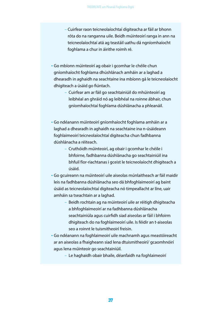- Cuirfear raon teicneolaíochtaí digiteacha ar fáil ar bhonn róta do na ranganna uile. Beidh múinteoirí ranga in ann na teicneolaíochtaí atá ag teastáil uathu dá ngníomhaíocht foghlama a chur in áirithe roimh ré.
- Go mbíonn múinteoirí ag obair i gcomhar le chéile chun gníomhaíocht foghlama dhúshlánach amháin ar a laghad a dhearadh in aghaidh na seachtaine ina mbíonn gá le teicneolaíocht dhigiteach a úsáid go fiúntach.
	- Cuirfear am ar fáil go seachtainiúil do mhúinteoirí ag leibhéal an ghráid nó ag leibhéal na roinne ábhair, chun gníomhaíochtaí foghlama dúshlánacha a phleanáil.
- Go ndéanann múinteoirí gníomhaíocht foghlama amháin ar a laghad a dhearadh in aghaidh na seachtaine ina n-úsáideann foghlaimeoirí teicneolaíochtaí digiteacha chun fadhbanna dúshlánacha a réiteach.
	- Cruthóidh múinteoirí, ag obair i gcomhar le chéile i bhfoirne, fadhbanna dúshlánacha go seachtainiúil ina bhfuil fíor-riachtanas i gceist le teicneolaíocht dhigiteach a úsáid.
- Go gcuireann na múinteoirí uile aiseolas múnlaitheach ar fáil maidir leis na fadhbanna dúshlánacha seo dá bhfoghlaimeoirí ag baint úsáid as teicneolaíochtaí digiteacha nó timpeallacht ar líne, uair amháin sa tseachtain ar a laghad.
	- Beidh rochtain ag na múinteoirí uile ar réitigh dhigiteacha a bhfoghlaimeoirí ar na fadhbanna dúshlánacha seachtainiúla agus cuirfidh siad aiseolas ar fáil i bhfoirm dhigiteach do na foghlaimeoirí uile. Is féidir an t-aiseolas seo a roinnt le tuismitheoirí freisin.
- Go ndéanann na foghlaimeoirí uile machnamh agus meastóireacht ar an aiseolas a fhaigheann siad lena dtuismitheoirí/ gcaomhnóirí agus lena múinteoir go seachtainiúil.
	- Le haghaidh obair bhaile, déanfaidh na foghlaimeoirí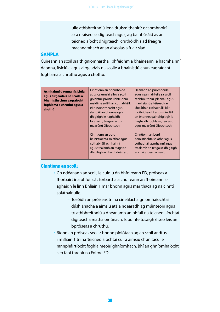uile athbhreithniú lena dtuismitheoirí/ gcaomhnóirí ar a n-aiseolas digiteach agus, ag baint úsáid as an teicneolaíocht dhigiteach, cruthóidh siad freagra machnamhach ar an aiseolas a fuair siad.

## SAMPLA

Cuireann an scoil sraith gníomhartha i bhfeidhm a bhaineann le hacmhainní daonna, fisiciúla agus airgeadais na scoile a bhainistiú chun eagraíocht foghlama a chruthú agus a chothú.

**Acmhainní daonna, fisiciúla agus airgeadais na scoile a bhainistiú chun eagraíocht foghlama a chruthú agus a chothú** 

Cinntíonn an príomhoide agus ceannairí eile sa scoil go bhfuil próisis i bhfeidhm maidir le soláthar, cothabháil, idir-inoibritheacht agus slándáil an bhonneagair dhigitigh le haghaidh foghlaim, teagasc agus measúnú éifeachtach.

Cinntíonn an bord bainistíochta soláthar agus cothabháil acmhainní agus trealamh an teagaisc dhigitigh ar chaighdeán ard. Déanann an príomhoide agus ceannairí eile sa scoil athbhreithniú, pleanáil agus maoirsiú straitéiseach ar sholáthar, cothabháil, idirinoibritheacht agus slándáil an bhonneagair dhigitigh le haghaidh foghlaim, teagasc agus measúnú éifeachtach.

Cinntíonn an bord bainistíochta soláthar agus cothabháil acmhainní agus trealamh an teagaisc dhigitigh ar chaighdeán an-ard.

## Cinntíonn an scoil:

- Go ndéanann an scoil, le cuidiú ón bhfoireann FD, próiseas a fhorbairt ina bhfuil cás forbartha a chuireann an fhoireann ar aghaidh le linn Bhliain 1 mar bhonn agus mar thaca ag na cinntí soláthair uile.
	- Tosóidh an próiseas trí na cineálacha gníomhaíochtaí dúshlánacha a aimsiú atá á ndearadh ag múinteoirí agus trí athbhreithniú a dhéanamh an bhfuil na teicneolaíochtaí digiteacha reatha oiriúnach. Is pointe tosaigh é seo leis an bpróiseas a chruthú.
- Bíonn an próiseas seo ar bhonn píolótach ag an scoil ar dtús i mBliain 1 trí na 'teicneolaíochtaí cuí' a aimsiú chun tacú le rannpháirtíocht foghlaimeoirí ghníomhach. Bhí an ghníomhaíocht seo faoi threoir na Foirne FD.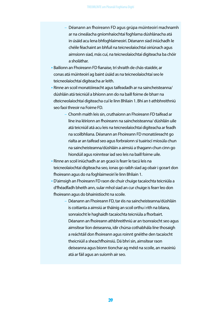- Déanann an fhoireann FD agus grúpa múinteoirí machnamh ar na cineálacha gníomhaíochtaí foghlama dúshlánacha atá in úsáid acu lena bhfoghlaimeoirí. Déanann siad iniúchadh le chéile féachaint an bhfuil na teicneolaíochtaí oiriúnach agus aimsíonn siad, más cuí, na teicneolaíochtaí digiteacha ba chóir a sholáthar.
- Bailíonn an Fhoireann FD fianaise, trí shraith de chás-staidéir, ar conas atá múinteoirí ag baint úsáid as na teicneolaíochtaí seo le teicneolaíochtaí digiteacha ar leith.
- Rinne an scoil monatóireacht agus taifeadadh ar na saincheisteanna/ dúshláin atá teicniúil a bhíonn ann do na baill foirne de bharr na dteicneolaíochtaí digiteacha cuí le linn Bhliain 1. Bhí an t-athbhreithniú seo faoi threoir na Foirne FD.
	- Chomh maith leis sin, cruthaíonn an Fhoireann FD taifead ar líne ina léiríonn an fhoireann na saincheisteanna/ dúshláin uile atá teicniúil atá acu leis na teicneolaíochtaí digiteacha ar feadh na scoilbhliana. Déanann an Fhoireann FD monatóireacht go rialta ar an taifead seo agus forbraíonn sí tuairiscí míosúla chun na saincheisteanna/dúshláin a aimsiú a thagann chun cinn go hiondúil agus roinntear iad seo leis na baill foirne uile.
- Rinne an scoil iniúchadh ar an gcaoi is fearr le tacú leis na teicneolaíochtaí digiteacha seo, ionas go raibh siad ag obair i gceart don fhoireann agus do na foghlaimeoirí le linn Bhliain 1.
- D'aimsigh an Fhoireann FD raon de chuir chuige tacaíochta teicniúla a d'fhéadfadh bheith ann, sular mhol siad an cur chuige is fearr leo don fhoireann agus do bhainistíocht na scoile.
	- Déanann an Fhoireann FD, tar éis na saincheisteanna/dúshláin is coitianta a aimsiú ar tháinig an scoil orthu i rith na bliana, sonraíocht le haghaidh tacaíochta teicniúla a fhorbairt. Déanann an fhoireann athbhreithniú ar an tsonraíocht seo agus aimsítear líon deiseanna, idir chúrsa cothabhála líne thosaigh a reáchtáil don fhoireann agus roinnt gnéithe den tacaíocht theicniúil a sheachfhoinsiú. Dá bhrí sin, aimsítear raon deiseanna agus bíonn tionchar ag méid na scoile, an maoiniú atá ar fáil agus an suíomh air seo.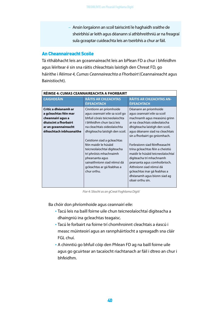– Ansin lorgaíonn an scoil tairiscintí le haghaidh sraithe de sheirbhísí ar leith agus déanann sí athbhreithniú ar na freagraí sula gceaptar cuideachta leis an tseirbhís a chur ar fáil.

## An Cheannaireacht Scoile

Tá ríthábhacht leis an gceannaireacht leis an bPlean FD a chur i bhfeidhm agus léirítear é sin sna ráitis chleachtais laistigh den Chreat FD, go háirithe i *Réimse 4, Cumas Ceannaireachta a Fhorbairt* (Ceannaireacht agus Bainistíocht).

| RÉIMSE 4: CUMAS CEANNAIREACHTA A FHORBAIRT                                                                                                      |                                                                                                                                                                                                                |                                                                                                                                                                                                                                                                                   |
|-------------------------------------------------------------------------------------------------------------------------------------------------|----------------------------------------------------------------------------------------------------------------------------------------------------------------------------------------------------------------|-----------------------------------------------------------------------------------------------------------------------------------------------------------------------------------------------------------------------------------------------------------------------------------|
| <b>CAIGHDEÁIN</b>                                                                                                                               | <b>RÁITIS AR CHLEACHTAS</b><br><b>ÉIFEACHTACH</b>                                                                                                                                                              | RÁITIS AR CHLEACHTAS AN-<br><b>ÉIFEACHTACH</b>                                                                                                                                                                                                                                    |
| Critíc a dhéanamh ar<br>a gcleachtas féin mar<br>cheannairí agus a<br>dtuiscint a fhorbairt<br>ar an gceannaireacht<br>éifeachtach inbhuanaithe | Cinntíonn an príomhoide<br>agus ceannairí eile sa scoil go<br>bhfuil córais teicneolaíochta<br>i bhfeidhm chun tacú leis<br>na cleachtais oideolaíochta<br>dhigiteacha laistigh den scoil.                     | Déanann an príomhoide<br>agus ceannairí eile sa scoil<br>machnamh agus measúnú grinn<br>ar na cleachtais oideolaíocha<br>dhigiteacha laistigh den scoil,<br>agus déanann siad na cleachtais<br>sin a fhorbairt go gníomhach.                                                      |
|                                                                                                                                                 | Ceistíonn siad a gcleachtas<br>féin maidir le húsáid<br>teicneolaíochtaí digiteacha<br>trí phróisis mhachnaimh<br>phearsanta agus<br>sainaithníonn siad réimsí dá<br>gcleachtas ar gá feabhas a<br>chur orthu. | Forbraíonn siad féinfheasacht<br>trína gcleachtas féin a cheistiú<br>maidir le húsáid teicneolaíochtaí<br>digiteacha trí mhachnamh<br>pearsanta agus comhoibríoch.<br>Aithníonn siad réimsí dá<br>gcleachtas inar gá feabhas a<br>dhéanamh agus bíonn siad ag<br>obair orthu sin. |

*Fíor 4: Sliocht as an gCreat Foghlama Digití*

Ba chóir don phríomhoide agus ceannairí eile:

- Tacú leis na baill foirne uile chun teicneolaíochtaí digiteacha a dhaingniú ina gcleachtas teagaisc.
- Tacú le forbairt na foirne trí chomhroinnt cleachtais a éascú i measc múinteoirí agus an rannpháirtíocht a spreagadh sna cláir FGL chuí.
- A chinntiú go bhfuil cóip den Phlean FD ag na baill foirne uile agus go gcuirtear an tacaíocht riachtanach ar fáil i dtreo an chur i bhfeidhm.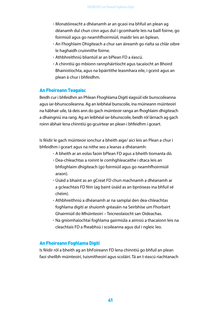- Monatóireacht a dhéanamh ar an gcaoi ina bhfuil an plean ag déanamh dul chun cinn agus dul i gcomhairle leis na baill foirne, go foirmiúil agus go neamhfhoirmiúil, maidir leis an bplean.
- An Fhoghlaim Dhigiteach a chur san áireamh go rialta sa chlár oibre le haghaidh cruinnithe foirne.
- Athbhreithniú bliantúil ar an bPlean FD a éascú.
- A chinntiú go mbíonn rannpháirtíocht agus tacaíocht an Bhoird Bhainistíochta, agus na bpáirtithe leasmhara eile, i gceist agus an plean á chur i bhfeidhm.

## An Fhoireann Teagaisc

Beidh cur i bhfeidhm an Phlean Fhoghlama Digití éagsúil idir bunscoileanna agus iar-bhunscoileanna. Ag an leibhéal bunscoile, ina múineann múinteoirí na hábhair uile, tá deis ann do gach múinteoir ranga an fhoghlaim dhigiteach a dhaingniú ina rang. Ag an leibhéal iar-bhunscoile, beidh ról lárnach ag gach roinn ábhair lena chinntiú go gcuirtear an plean i bhfeidhm i gceart.

Is féidir le gach múinteoir ionchur a bheith aige/ aici leis an Plean a chur i bhfeidhm i gceart agus na nithe seo a leanas a dhéanamh:

- A bheith ar an eolas faoin bPlean FD agus a bheith tiomanta dó.
- Dea-chleachtas a roinnt le comhghleacaithe i dtaca leis an bhfoghlaim dhigiteach (go foirmiúil agus go neamhfhoirmiúil araon).
- Úsáid a bhaint as an gCreat FD chun machnamh a dhéanamh ar a gcleachtais FD féin (ag baint úsáid as an bpróiseas ina bhfuil sé chéim).
- Athbhreithniú a dhéanamh ar na samplaí den dea-chleachtas foghlama digití ar shuíomh gréasáin na Seirbhíse um Fhorbairt Ghairmiúil do Mhúinteoirí – Teicneolaíocht san Oideachas.
- Na gníomhaíochtaí foghlama gairmiúla a aimsiú a thacaíonn leis na cleachtais FD a fheabhsú i scoileanna agus dul i ngleic leo.

## An Fhoireann Foghlama Digití

Is féidir ról a bheith ag an bhFoireann FD lena chinntiú go bhfuil an plean faoi sheilbh múinteoirí, tuismitheoirí agus scoláirí. Tá an t-éascú riachtanach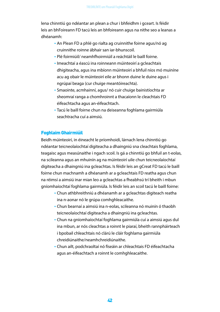lena chinntiú go ndéantar an plean a chur i bhfeidhm i gceart. Is féidir leis an bhFoireann FD tacú leis an bhfoireann agus na nithe seo a leanas a dhéanamh:

- An Plean FD a phlé go rialta ag cruinnithe foirne agus/nó ag cruinnithe roinne ábhair san iar-bhunscoil.
- Plé foirmiúil/ neamhfhoirmiúil a reáchtáil le baill foirne.
- Imeachtaí a éascú ina roinneann múinteoirí a gcleachtais dhigiteacha, agus ina mbíonn múinteoirí a bhfuil níos mó muiníne acu ag obair le múinteoirí eile ar bhonn duine le duine agus i ngrúpaí beaga (cur chuige meantóireachta).
- Smaointe, acmhainní, agus/ nó cuir chuige bainistíochta ar sheomraí ranga a chomhroinnt a thacaíonn le cleachtais FD éifeachtacha agus an-éifeachtach.
- Tacú le baill foirne chun na deiseanna foghlama gairmiúla seachtracha cuí a aimsiú.

## Foghlaim Ghairmiúil

Beidh múinteoirí, in éineacht le príomhoidí, lárnach lena chinntiú go ndéantar teicneolaíochtaí digiteacha a dhaingniú sna cleachtais foghlama, teagaisc agus measúnaithe i ngach scoil. Is gá a chinntiú go bhfuil an t-eolas, na scileanna agus an mhuinín ag na múinteoirí uile chun teicneolaíochtaí digiteacha a dhaingniú ina gcleachtas. Is féidir leis an gCreat FD tacú le baill foirne chun machnamh a dhéanamh ar a gcleachtais FD reatha agus chun na réimsí a aimsiú inar mian leo a gcleachtas a fheabhsú trí bheith i mbun gníomhaíochtaí foghlama gairmiúla. Is féidir leis an scoil tacú le baill foirne:

- Chun athbhreithniú a dhéanamh ar a gcleachtas digiteach reatha ina n-aonar nó le grúpa comhghleacaithe.
- Chun bearnaí a aimsiú ina n-eolas, scileanna nó muinín ó thaobh teicneolaíochtaí digiteacha a dhaingniú ina gcleachtas.
- Chun na gníomhaíochtaí foghlama gairmiúla cuí a aimsiú agus dul ina mbun, ar nós cleachtas a roinnt le piaraí, bheith rannpháirteach i bpobail chleachtais nó clárú le cláir foghlama gairmiúla chreidiúnaithe/neamhchreidiúnaithe.
- Chun ailt, podchraoltaí nó físeáin ar chleachtais FD éifeachtacha agus an-éifeachtach a roinnt le comhghleacaithe.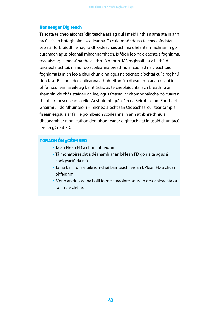## Bonneagar Digiteach

Tá scata teicneolaíochtaí digiteacha atá ag dul i méid i rith an ama atá in ann tacú leis an bhfoghlaim i scoileanna. Tá cuid mhór de na teicneolaíochtaí seo nár forbraíodh le haghaidh oideachais ach má dhéantar machnamh go cúramach agus pleanáil mhachnamhach, is féidir leo na cleachtais foghlama, teagaisc agus measúnaithe a athrú ó bhonn. Má roghnaítear a leithéid teicneolaíochtaí, ní mór do scoileanna breathnú ar cad iad na cleachtais foghlama is mian leo a chur chun cinn agus na teicneolaíochtaí cuí a roghnú don tasc. Ba chóir do scoileanna athbhreithniú a dhéanamh ar an gcaoi ina bhfuil scoileanna eile ag baint úsáid as teicneolaíochtaí ach breathnú ar shamplaí de chás-staidéir ar líne, agus freastal ar chomhdhálacha nó cuairt a thabhairt ar scoileanna eile. Ar shuíomh gréasáin na Seirbhíse um Fhorbairt Ghairmiúil do Mhúinteoirí – Teicneolaíocht san Oideachas, cuirtear samplaí físeáin éagsúla ar fáil le go mbeidh scoileanna in ann athbhreithniú a dhéanamh ar raon leathan den bhonneagar digiteach atá in úsáid chun tacú leis an gCreat FD.

## TORADH ÓN gCÉIM SEO

- Tá an Plean FD á chur i bhfeidhm.
- Tá monatóireacht á déanamh ar an bPlean FD go rialta agus á choigeartú dá réir.
- Tá na baill foirne uile iomchuí bainteach leis an bPlean FD a chur i bhfeidhm.
- Bíonn an deis ag na baill foirne smaointe agus an dea-chleachtas a roinnt le chéile.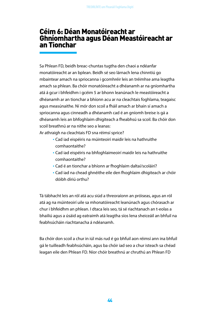## Céim 6: Déan Monatóireacht ar Ghníomhartha agus Déan Meastóireacht ar an Tionchar

Sa Phlean FD, beidh breac-chuntas tugtha den chaoi a ndéanfar monatóireacht ar an bplean. Beidh sé seo lárnach lena chinntiú go mbaintear amach na spriocanna i gcomhréir leis an tréimhse ama leagtha amach sa phlean. Ba chóir monatóireacht a dhéanamh ar na gníomhartha atá á gcur i bhfeidhm i gcéim 5 ar bhonn leanúnach le meastóireacht a dhéanamh ar an tionchar a bhíonn acu ar na cleachtais foghlama, teagaisc agus measúnaithe. Ní mór don scoil a fháil amach ar bhain sí amach a spriocanna agus cinneadh a dhéanamh cad é an gníomh breise is gá a dhéanamh leis an bhfoghlaim dhigiteach a fheabhsú sa scoil. Ba chóir don scoil breathnú ar na nithe seo a leanas:

Ar athraigh na cleachtais FD sna réimsí sprice?

- Cad iad eispéiris na múinteoirí maidir leis na hathruithe comhaontaithe?
- Cad iad eispéiris na bhfoghlaimeoirí maidir leis na hathruithe comhaontaithe?
- Cad é an tionchar a bhíonn ar fhoghlaim daltaí/scoláirí?
- Cad iad na chead ghnéithe eile den fhoghlaim dhigiteach ar chóir dóibh díriú orthu?

Tá tábhacht leis an ról atá acu siúd a threoraíonn an próiseas, agus an ról atá ag na múinteoirí uile sa mhonatóireacht leanúnach agus chórasach ar chur i bhfeidhm an phlean. I dtaca leis seo, tá sé riachtanach an t-eolas a bhailiú agus a úsáid ag eatraimh atá leagtha síos lena sheiceáil an bhfuil na feabhsúcháin riachtanacha á ndéanamh.

Ba chóir don scoil a chur in iúl más rud é go bhfuil aon réimsí ann ina bhfuil gá le tuilleadh feabhsúcháin, agus ba chóir iad seo a chur isteach sa chéad leagan eile den Phlean FD. Níor chóir breathnú ar chruthú an Phlean FD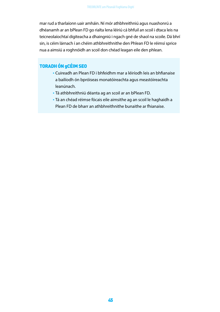mar rud a tharlaíonn uair amháin. Ní mór athbhreithniú agus nuashonrú a dhéanamh ar an bPlean FD go rialta lena léiriú cá bhfuil an scoil i dtaca leis na teicneolaíochtaí digiteacha a dhaingniú i ngach gné de shaol na scoile. Dá bhrí sin, is céim lárnach í an chéim athbhreithnithe den Phlean FD le réimsí sprice nua a aimsiú a roghnóidh an scoil don chéad leagan eile den phlean.

## TORADH ÓN gCÉIM SEO

- Cuireadh an Plean FD i bhfeidhm mar a léiríodh leis an bhfianaise a bailíodh ón bpróiseas monatóireachta agus meastóireachta leanúnach.
- Tá athbhreithniú déanta ag an scoil ar an bPlean FD.
- Tá an chéad réimse fócais eile aimsithe ag an scoil le haghaidh a Plean FD de bharr an athbhreithnithe bunaithe ar fhianaise.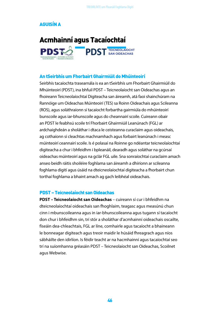## AGUISÍN A



#### An tSeirbhís um Fhorbairt Ghairmiúil do Mhúinteoirí

Seirbhís tacaíochta trasearnála is ea an tSeirbhís um Fhorbairt Ghairmiúil do Mhúinteoirí (PDST), ina bhfuil PDST – Teicneolaíocht san Oideachas agus an fhoireann Teicneolaíochtaí Digiteacha san áireamh, atá faoi shainchúram na Rannóige um Oideachas Múinteoirí (TES) sa Roinn Oideachais agus Scileanna (ROS), agus soláthraíonn sí tacaíocht forbartha gairmiúla do mhúinteoirí bunscoile agus iar-bhunscoile agus do cheannairí scoile. Cuireann obair an PDST le feabhsú scoile trí Fhorbairt Ghairmiúil Leanúnach (FGL) ar ardchaighdeán a sholáthar i dtaca le ceisteanna curaclaim agus oideachais, ag cothaíonn sí cleachtas machnamhach agus forbairt leanúnach i measc múinteoirí ceannairí scoile. Is é polasaí na Roinne go ndéantar teicneolaíochtaí digiteacha a chur i bhfeidhm i bpleanáil, dearadh agus soláthar na gcúrsaí oideachas múinteoirí agus na gclár FGL uile. Sna sonraíochtaí curaclaim amach anseo beidh ráitis shoiléire foghlama san áireamh a dhíríonn ar scileanna foghlama digití agus úsáid na dteicneolaíochtaí digiteacha a fhorbairt chun torthaí foghlama a bhaint amach ag gach leibhéal oideachais.

### PDST – Teicneolaíocht san Oideachas

**PDST – Teicneolaíocht san Oideachas** – cuireann sí cur i bhfeidhm na dteicneolaíochtaí oideachais san fhoghlaim, teagasc agus measúnú chun cinn i mbunscoileanna agus in iar-bhunscoileanna agus tugann sí tacaíocht don chur i bhfeidhm sin, trí stór a sholáthar d'acmhainní oideachais oscailte, físeáin dea-chleachtais, FGL ar líne, comhairle agus tacaíocht a bhaineann le bonneagar digiteach agus treoir maidir le húsáid fhreagrach agus níos sábháilte den idirlíon. Is féidir teacht ar na hacmhainní agus tacaíochtaí seo trí na suíomhanna gréasáin PDST – Teicneolaíocht san Oideachas, Scoilnet agus Webwise.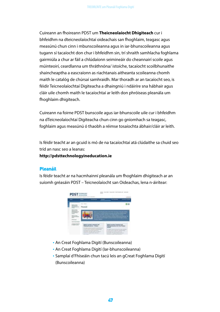Cuireann an fhoireann PDST um **Theicneolaíocht Dhigiteach** cur i bhfeidhm na dteicneolaíochtaí oideachais san fhoghlaim, teagasc agus measúnú chun cinn i mbunscoileanna agus in iar-bhunscoileanna agus tugann sí tacaíocht don chur i bhfeidhm sin, trí shraith samhlacha foghlama gairmiúla a chur ar fáil a chlúdaíonn seimineáir do cheannairí scoile agus múinteoirí, ceardlanna um thráthnóna/ istoíche, tacaíocht scoilbhunaithe shaincheaptha a eascraíonn as riachtanais aitheanta scoileanna chomh maith le catalóg de chúrsaí samhraidh. Mar thoradh ar an tacaíocht seo, is féidir Teicneolaíochtaí Digiteacha a dhaingniú i ndáiríre sna hábhair agus cláir uile chomh maith le tacaíochtaí ar leith don phróiseas pleanála um fhoghlaim dhigiteach.

Cuireann na foirne PDST bunscoile agus iar-bhunscoile uile cur i bhfeidhm na dTeicneolaíochtaí Digiteacha chun cinn go gníomhach sa teagasc, foghlaim agus measúnú ó thaobh a réimse tosaíochta ábhair/cláir ar leith.

Is féidir teacht ar an gcuid is mó de na tacaíochtaí atá clúdaithe sa chuid seo tríd an nasc seo a leanas:

**http://pdsttechnologyineducation.ie**

## Pleanáil

Is féidir teacht ar na hacmhainní pleanála um fhoghlaim dhigiteach ar an suíomh gréasáin PDST – Teicneolaíocht san Oideachas, lena n-áirítear:



- An Creat Foghlama Digití (Bunscoileanna)
- An Creat Foghlama Digití (Iar-bhunscoileanna)
- Samplaí d'Fhíseáin chun tacú leis an gCreat Foghlama Digití (Bunscoileanna)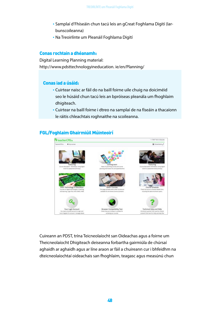- Samplaí d'Fhíseáin chun tacú leis an gCreat Foghlama Digití (Iarbunscoileanna)
- Na Treoirlínte um Pleanáil Foghlama Digití

## Conas rochtain a dhéanamh:

Digital Learning Planning material: http://www.pdsttechnologyineducation. ie/en/Planning/

## Conas iad a úsáid:

- Cuirtear naisc ar fáil do na baill foirne uile chuig na doiciméid seo le húsáid chun tacú leis an bpróiseas pleanála um fhoghlaim dhigiteach.
- Cuirtear na baill foirne i dtreo na samplaí de na físeáin a thacaíonn le ráitis chleachtais roghnaithe na scoileanna.

## FGL/Foghlaim Ghairmiúil Múinteoirí



Cuireann an PDST, trína Teicneolaíocht san Oideachas agus a foirne um Theicneolaíocht Dhigiteach deiseanna forbartha gairmiúla de chúrsaí aghaidh ar aghaidh agus ar líne araon ar fáil a chuireann cur i bhfeidhm na dteicneolaíochtaí oideachais san fhoghlaim, teagasc agus measúnú chun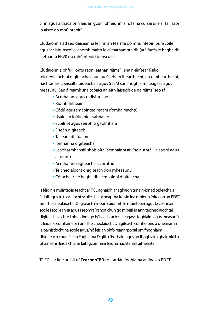cinn agus a thacaíonn leis an gcur i bhfeidhm sin. Tá na cúrsaí uile ar fáil saor in aisce do mhúinteoirí.

Clúdaíonn siad seo deiseanna le linn an téarma do mhúinteoirí bunscoile agus iar-bhunscoile, chomh maith le cúrsaí samhraidh (atá faofa le haghaidh laethanta EPV0 do mhúinteoirí bunscoile.

Clúdaíonn a bhfuil iontu raon leathan réimsí, lena n-áirítear úsáid teicneolaíochtaí digiteacha chun tacú leis an litearthacht, an uimhearthacht, riachtanais speisialta oideachais agus STEM san fhoghlaim, teagasc agus measúnú. San áireamh sna topaicí ar leith laistigh de na réimsí seo tá:

- Acmhainní agus uirlisí ar líne
- Ríomhfhillteáin
- Códú agus smaointeoireacht ríomhaireachtúil
- Úsáid an Idirlín níos sábháilte
- Scoilnet agus seirbhísí gaolmhara
- Físeán digiteach
- Taifeadadh fuaime
- Íomhánna digiteacha
- Leabharmharcáil shóisialta (acmhainní ar líne a stóráil, a eagrú agus a roinnt)
- Acmhainní digiteacha a chruthú
- Teicneolaíocht dhigiteach don mheasúnú
- Cóipcheart le haghaidh acmhainní digiteacha

Is féidir le múinteoirí teacht ar FGL aghaidh ar aghaidh trína n-ionad oideachais áitiúil agus trí thacaíocht scoile shaincheaptha freisin ina mbíonn foireann an PDST um Theicneolaíocht Dhigiteach i mbun caidrimh le múinteoirí agus le ceannairí scoile i scoileanna agus i seomraí ranga chun go mbeifí in ann teicneolaíochtaí digiteacha a chur i bhfeidhm go héifeachtach sa teagasc, foghlaim agus measúnú. Is féidir le comhairleoirí um Theicneolaíocht Dhigiteach comhoibriú a dhéanamh le bainistíocht na scoile agus/nó leis an bhfoireann/pobal um fhoghlaim dhigiteach chun Plean Foghlama Digití a fhorbairt agus an fhoghlaim ghairmiúil a bhaineann leis a chur ar fáil i gcomhréir leis na riachtanais aitheanta.

Tá FGL ar líne ar fáil trí **TeacherCPD.ie** – ardán foghlama ar líne an PDST –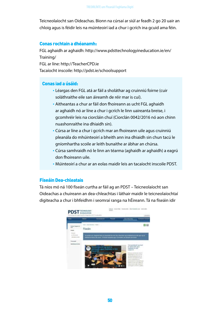Teicneolaíocht san Oideachas. Bíonn na cúrsaí ar siúl ar feadh 2 go 20 uair an chloig agus is féidir leis na múinteoirí iad a chur i gcrích ina gcuid ama féin.

## Conas rochtain a dhéanamh:

FGL aghaidh ar aghaidh: http://www.pdsttechnologyineducation.ie/en/ Training/ FGL ar líne: http://TeacherCPD.ie

Tacaíocht inscoile: http://pdst.ie/schoolsupport

## Conas iad a úsáid:

- Léargas den FGL atá ar fáil a sholáthar ag cruinniú foirne (cuir soláthraithe eile san áireamh de réir mar is cuí).
- Aitheantas a chur ar fáil don fhoireann as ucht FGL aghaidh ar aghaidh nó ar líne a chur i gcrích le linn uaireanta breise, i gcomhréir leis na ciorcláin chuí (Ciorclán 0042/2016 nó aon chinn nuashonraithe ina dhiaidh sin).
- Cúrsa ar líne a chur i gcrích mar an fhoireann uile agus cruinniú pleanála do mhúinteoirí a bheith ann ina dhiaidh sin chun tacú le gníomhartha scoile ar leith bunaithe ar ábhar an chúrsa.
- Cúrsa samhraidh nó le linn an téarma (aghaidh ar aghaidh) a eagrú don fhoireann uile.
- Múinteoirí a chur ar an eolas maidir leis an tacaíocht inscoile PDST.

## Físeáin Dea-chleatais

Tá níos mó ná 100 físeán curtha ar fáil ag an PDST – Teicneolaíocht san Oideachas a chuireann an dea-chleachtas i láthair maidir le teicneolaíochtaí digiteacha a chur i bhfeidhm i seomraí ranga na hÉireann. Tá na físeáin idir

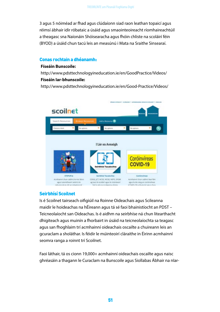3 agus 5 nóiméad ar fhad agus clúdaíonn siad raon leathan topaicí agus réimsí ábhair idir róbataic a úsáid agus smaointeoireacht ríomhaireachtúil a theagasc sna Naíonáin Shóisearacha agus fhóin chliste na scoláirí féin (BYOD) a úsáid chun tacú leis an measúnú i Mata na Sraithe Sinsearaí.

#### Conas rochtain a dhéanamh:

#### **Físeáin Bunscoile:**

http://www.pdsttechnologyineducation.ie/en/GoodPractice/Videos/

### **Físeáin Iar-bhunscoile:**

http://www.pdsttechnologyineducation.ie/en/Good-Practice/Videos/



## Seirbhísí Scoilnet

Is é Scoilnet tairseach oifigiúil na Roinne Oideachais agus Scileanna maidir le hoideachas na hÉireann agus tá sé faoi bhainistíocht an PDST – Teicneolaíocht san Oideachas. Is é aidhm na seirbhíse ná chun litearthacht dhigiteach agus muinín a fhorbairt in úsáid na teicneolaíochta sa teagasc agus san fhoghlaim trí acmhainní oideachais oscailte a chuireann leis an gcuraclam a sholáthar. Is féidir le múinteoirí cláraithe in Éirinn acmhainní seomra ranga a roinnt trí Scoilnet.

Faoi láthair, tá os cionn 19,000+ acmhainní oideachais oscailte agus naisc ghréasáin a thagann le Curaclam na Bunscoile agus Siollabas Ábhair na nIar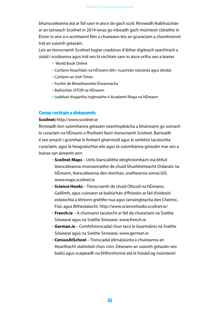bhunscoileanna atá ar fáil saor in aisce do gach scoil. Rinneadh feabhsúchán ar an tairseach Scoilnet in 2014 ionas go mbeadh gach múinteoir cláraithe in Éirinn in ann a n-acmhainní féin a chuireann leis an gcuraclam a chomhroinnt tríd an suíomh gréasáin.

Leis an tionscnamh Scoilnet tugtar ceadúnas d'ábhar digiteach seachtrach a úsáid i scoileanna agus tríd seo tá rochtain saor in aisce orthu seo a leanas

- World Book Online
- Cartlann Nuachtáin na hÉireann (60+ nuachtán náisiúnta agus áitiúla)
- Cartlann an Irish Times
- Foclóir de Bheathaisnéisí Éireannacha
- Bailiúchán JSTOR na hÉireann
- Leabhair thagartha roghnaithe ó Acadamh Ríoga na hÉireann

## Conas rochtain a dhéanamh:

#### **Scoilnet:** http://www.scoilnet.ie

Rinneadh líon suíomhanna gréasáin neamhspleácha a bhaineann go sonrach le curaclam na hÉireann a fhorbairt faoin tionscnamh Scoilnet. Baineadh é seo amach i gcomhar le forbairt ghairmiúil agus le seirbhísí tacaíochta curaclaim, agus le heagraíochtaí eile agus tá suíomhanna gréasáin mar seo a leanas san áireamh ann:

- **Scoilnet Maps**  Uirlis léarscáilithe idirghníomhach ina bhfuil léarscáileanna mionsonraithe de chuid Shuirbhéireacht Ordanáis na hÉireann, léarscáileanna den domhan, sraitheanna sonraí GIS. www.maps.scoilnet.ie
- **Science Hooks**  Tionscnamh de chuid Ollscoil na hÉireann, Gaillimh, agus cuireann sé bailiúchán d'fhíseáin ar fáil d'oideoirí eolaíochta a léiríonn gnéithe nua agus tarraingteacha den Cheimic, Fisic agus Bitheolaíocht. http://www.sciencehooks.scoilnet.ie/
- **French.ie**  A chuireann tacaíocht ar fáil do churaclam na Sraithe Sóisearaí agus na Sraithe Sinsearaí. www.french.ie
- **German.ie**  Comhthionscadal chun tacú le Gearmáinis na Sraithe Sóisearaí agus na Sraithe Sinsearaí. www.german.ie
- **CensusAtSchool**  Tionscadal idirnáisiúnta a chuireanna an litearthacht staitistiúil chun cinn. Déanann an suíomh gréasáin seo bailiú agus scaipeadh na bhfíorshonraí atá le húsáid ag múinteoirí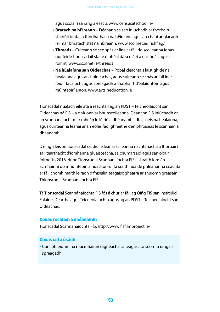agus scoláirí sa rang a éascú. www.censusatschool.ie/

- **Bratach na hÉireann**  Déanann sé seo iniúchadh ar fhorbairt stairiúil bratach thrídhathach na hÉireann agus an chaoi ar glacadh léi mar bhratach stát na hÉireann. www.scoilnet.ie/irishflag/
- **Threads** Cuireann sé seo spás ar líne ar fáil do scoileanna ionas gur féidir tionscadail staire ó bhéal dá scoláirí a uaslódáil agus a roinnt. www.scoilnet.ie/threads
- **Na hEalaíona san Oideachas** Pobal cleachtais laistigh de na healaíona agus an t-oideachas, agus cuireann sé spás ar fáil inar féidir tacaíocht agus spreagadh a thabhairt d'ealaíontóirí agus múinteoirí araon. www.artsineducation.ie

Tionscadal nuálach eile atá á reáchtáil ag an PDST – Teicneolaíocht san Oideachas ná FÍS – a dhíríonn ar bhunscoileanna. Déanann FÍS iniúchadh ar an scannánaíocht mar mheán le léiriú a dhéanamh i dtaca leis na healaíona, agus cuirtear na leanaí ar an eolas faoi ghnéithe den phróiseas le scannáin a dhéanamh.

D'éirigh leis an tionscadal cuidiú le leanaí scileanna riachtanacha a fhorbairt sa litearthacht d'íomhánna gluaisteacha, sa chumarsáid agus san obair foirne. In 2016, rinne Tionscadal Scannánaíochta FÍS a shraith iomlán acmhainní do mhúinteoirí a nuashonrú. Tá sraith nua de phleananna ceachta ar fáil chomh maith le raon d'fhíseáin teagaisc ghearra ar shuíomh gréasáin Thionscadal Scannánaíochta FÍS.

Tá Tionscadal Scannánaíochta FÍS fós á chur ar fáil ag Oifig FÍS san Institiúid Ealaíne, Deartha agus Teicneolaíochta agus ag an PDST – Teicneolaíocht san Oideachas.

## Conas rochtain a dhéanamh:

Tionscadal Scannánaíochta FÍS: http://www.fisfilmproject.ie/

#### Conas iad a úsáid:

• Cur i bhfeidhm na n-acmhainní digiteacha sa teagasc sa seomra ranga a spreagadh.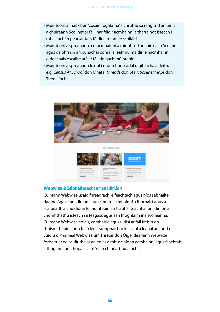- Múinteoirí a fháil chun 'cosáin foghlama' a chruthú sa rang tríd an uirlis a chuireann Scoilnet ar fáil inar féidir acmhainní a tharraingt isteach i mbailiúchán pearsanta is féidir a roinnt le scoiláirí.
- Múinteoirí a spreagadh a n-acmhainní a roinnt tríd an tairseach Scoilnet agus dá bhrí sin an bunachar sonraí a leathnú maidir le hacmhainní oideachais oscailte atá ar fáil do gach múinteoir.
- Múinteoirí a spreagadh le dul i mbun tionscadal digiteacha ar leith, e.g. *Census At School* don Mhata; *Threads* don Stair; *Scoilnet Maps* don Tíreolaíocht.



AG TREOCHTAL



## Webwise & Sábháilteacht ar an Idirlíon

Cuireann Webwise úsáid fhreagrach, éifeachtach agus níos sábháilte daoine óga ar an idirlíon chun cinn trí acmhainní a fhorbairt agus a scaipeadh a chuidíonn le múinteoirí an tsábháilteacht ar an idirlíon a chomhtháthú isteach sa teagasc agus san fhoghlaim ina scoileanna. Cuireann Webwise eolais, comhairle agus uirlisí ar fáil freisin do thuismitheoirí chun tacú lena rannpháirtíocht i saol a leanaí ar líne. Le cuidiú ó Phainéal Webwise um Threoir don Óige, déanann Webwise forbairt ar eolas dírithe ar an eolas a mhúsclaíonn acmhainní agus feachtais a thugann faoi thopaicí ar nós an chibearbhulaíocht.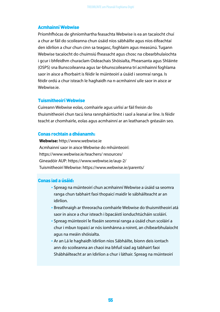## Acmhainní Webwise

Príomhfhócas de ghníomhartha feasachta Webwise is ea an tacaíocht chuí a chur ar fáil do scoileanna chun úsáid níos sábháilte agus níos éifeachtaí den idirlíon a chur chun cinn sa teagasc, foghlaim agus measúnú. Tugann Webwise tacaíocht do chuimsiú fheasacht agus chosc na cibearbhulaíochta i gcur i bhfeidhm churaclam Oideachais Shóisialta, Phearsanta agus Shláinte (OSPS) sna Bunscoileanna agus Iar-bhunscoileanna trí acmhainní foghlama saor in aisce a fhorbairt is féidir le múinteoirí a úsáid i seomraí ranga. Is féidir ordú a chur isteach le haghaidh na n-acmhainní uile saor in aisce ar Webwise.ie.

## Tuismitheoirí Webwise

Cuireann Webwise eolas, comhairle agus uirlisí ar fáil freisin do thuismitheoirí chun tacú lena rannpháirtíocht i saol a leanaí ar líne. Is féidir teacht ar chomhairle, eolas agus acmhainní ar an leathanach gréasáin seo.

## Conas rochtain a dhéanamh:

**Webwise:** http://www.webwise.ie Acmhainní saor in aisce Webwise do mhúinteoirí: https://www.webwise.ie/teachers/ resources/ Gineadóir AUP: https://www.webwise.ie/aup-2/ Tuismitheoirí Webwise: https://www.webwise.ie/parents/

## Conas iad a úsáid:

- Spreag na múinteoirí chun acmhainní Webwise a úsáid sa seomra ranga chun tabhairt faoi thopaicí maidir le sábháilteacht ar an idirlíon.
- Breathnaigh ar threoracha comhairle Webwise do thuismitheoirí atá saor in aisce a chur isteach i bpacáistí ionduchtúcháin scoláirí.
- Spreag múinteoirí le físeáin seomraí ranga a úsáid chun scoláirí a chur i mbun topaicí ar nós íomhánna a roinnt, an chibearbhulaíocht agus na meáin shóisialta.
- Ar an Lá le haghaidh Idirlíon níos Sábháilte, bíonn deis iontach ann do scoileanna an chaoi ina bhfuil siad ag tabhairt faoi Shábháilteacht ar an Idirlíon a chur i láthair. Spreag na múinteoirí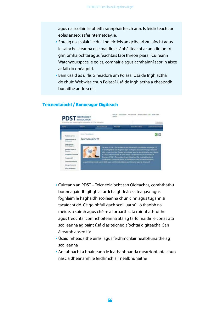agus na scoláirí le bheith rannpháirteach ann. Is féidir teacht ar eolas anseo: saferinternetday.ie.

- Spreag na scoláirí le dul i ngleic leis an gcibearbhulaíocht agus le saincheisteanna eile maidir le sábháilteacht ar an idirlíon trí ghníomhaíochtaí agus feachtais faoi threoir piaraí. Cuireann Watchyourspace.ie eolas, comhairle agus acmhainní saor in aisce ar fáil do dhéagóirí.
- Bain úsáid as uirlis Gineadóra um Polasaí Úsáide Inghlactha de chuid Webwise chun Polasaí Úsáide Inghlactha a cheapadh bunaithe ar do scoil.

## Teicneolaíocht / Bonneagar Digiteach



- Cuireann an PDST Teicneolaíocht san Oideachas, comhtháthú bonneagair dhigitigh ar ardchaighdeán sa teagasc agus foghlaim le haghaidh scoileanna chun cinn agus tugann sí tacaíocht dó. Cé go bhfuil gach scoil uathúil ó thaobh na méide, a suímh agus chéim a forbartha, tá roinnt athruithe agus treochtaí comhchoiteanna atá ag tarlú maidir le conas atá scoileanna ag baint úsáid as teicneolaíochtaí digiteacha. San áireamh anseo tá:
- Úsáid mhéadaithe uirlisí agus feidhmchláir néalbhunaithe ag scoileanna
- An tábhacht a bhaineann le leathanbhanda mear/iontaofa chun nasc a dhéanamh le feidhmchláir néalbhunaithe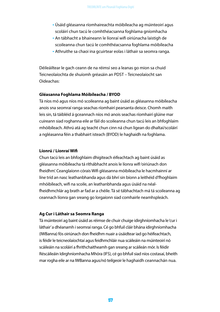- Úsáid gléasanna ríomhaireachta móibíleacha ag múinteoirí agus scoláirí chun tacú le comhthéacsanna foghlama gníomhacha
- An tábhacht a bhaineann le líonraí wifi oiriúnacha laistigh de scoileanna chun tacú le comhthéacsanna foghlama móibíleacha
- Athruithe sa chaoi ina gcuirtear eolas i láthair sa seomra ranga.

Déileáiltear le gach ceann de na réimsí seo a leanas go mion sa chuid Teicneolaíochta de shuíomh gréasáin an PDST – Teicneolaíocht san Oideachas:

#### **Gléasanna Foghlama Móibíleacha / BYOD**

Tá níos mó agus níos mó scoileanna ag baint úsáid as gléasanna móibíleacha anois sna seomraí ranga seachas ríomhairí pearsanta deisce. Chomh maith leis sin, tá táibléid á gceannach níos mó anois seachas ríomhairí glúine mar cuireann siad roghanna eile ar fáil do scoileanna chun tacú leis an bhfoghlaim mhóibíleach. Athrú atá ag teacht chun cinn ná chun ligean do dhaltaí/scoláirí a ngléasanna féin a thabhairt isteach (BYOD) le haghaidh na foghlama.

#### **Líonrú / Líonraí Wifi**

Chun tacú leis an bhfoghlaim dhigiteach éifeachtach ag baint úsáid as gléasanna móibíleacha tá ríthábhacht anois le líonra wifi 'oiriúnach don fheidhm'. Ceanglaíonn córais Wifi gléasanna móibíleacha le hacmhainní ar líne tríd an nasc leathanbhanda agus dá bhrí sin bíonn a leithéid d'fhoghlaim mhóibíleach, wifi na scoile, an leathanbhanda agus úsáid na néalfheidhmchlár ag brath ar fad ar a chéile. Tá sé tábhachtach má tá scoileanna ag ceannach líonra gan sreang go lorgaíonn siad comhairle neamhspleách.

### **Ag Cur i Láthair sa Seomra Ranga**

Tá múinteoirí ag baint úsáid as réimse de chuir chuige idirghníomhacha le 'cur i láthair' a dhéanamh i seomraí ranga. Cé go bhfuil cláir bhána idirghníomhacha (IWBanna) fós oiriúnach don fheidhm nuair a úsáidtear iad go héifeachtach, is féidir le teicneolaíochtaí agus feidhmchláir nua scáileáin na múinteoirí nó scáileáin na scoláirí a fhrithchaitheamh gan sreang ar scáileán mór. Is féidir Réscáileáin Idirghníomhacha Mhóra (IFS), cé go bhfuil siad níos costasaí, bheith mar rogha eile ar na IWBanna agus/nó teilgeoir le haghaidh ceannachán nua.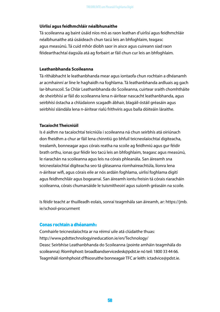### **Uirlisí agus feidhmchláir néalbhunaithe**

Tá scoileanna ag baint úsáid níos mó as raon leathan d'uirlisí agus feidhmchláir néalbhunaithe atá úsáideach chun tacú leis an bhfoghlaim, teagasc agus measúnú. Tá cuid mhór díobh saor in aisce agus cuireann siad raon féidearthachtaí éagsúla atá ag forbairt ar fáil chun cur leis an bhfoghlaim.

### **Leathanbhanda Scoileanna**

Tá ríthábhacht le leathanbhanda mear agus iontaofa chun rochtain a dhéanamh ar acmhainní ar líne le haghaidh na foghlama. Tá leathanbhanda ardluais ag gach Iar-bhunscoil. Sa Chlár Leathanbhanda do Scoileanna, cuirtear sraith chomhtháite de sheirbhísí ar fáil do scoileanna lena n-áirítear nascacht leathanbhanda, agus seirbhísí óstacha a chlúdaíonn scagadh ábhair, blagáil-óstáil gréasáin agus seirbhísí slándála lena n-áirítear rialú frithvíris agus balla dóiteáin láraithe.

## **Tacaíocht Theicniúil**

Is é aidhm na tacaíochtaí teicniúla i scoileanna ná chun seirbhís atá oiriúnach don fheidhm a chur ar fáil lena chinntiú go bhfuil teicneolaíochtaí digiteacha, trealamh, bonneagar agus córais reatha na scoile ag feidhmiú agus gur féidir brath orthu, ionas gur féidir leo tacú leis an bhfoghlaim, teagasc agus measúnú, le riarachán na scoileanna agus leis na córais phleanála. San áireamh sna teicneolaíochtaí digiteacha seo tá gléasanna ríomhaireachtúla, líonra lena n-áirítear wifi, agus córais eile ar nós ardáin foghlama, uirlisí foghlama digití agus feidhmchláir agus bogearraí. San áireamh iontu freisin tá córais riaracháin scoileanna, córais chumarsáide le tuismitheoirí agus suíomh gréasáin na scoile.

Is féidir teacht ar thuilleadh eolais, sonraí teagmhála san áireamh, ar: https://jmb. ie/school-procurment

## Conas rochtain a dhéanamh:

Comhairle teicneolaíochta ar na réimsí uile atá clúdaithe thuas: http://www.pdsttechnologyineducation.ie/en/Technology/ Deasc Seirbhíse Leathanbhanda do Scoileanna (pointe amháin teagmhála do scoileanna): Ríomhphost: broadbandservicedesk@pdst.ie nó teil: 1800 33 44 66. Teagmháil ríomhphoist d'fhiosruithe bonneagair TFC ar leith: ictadvice@pdst.ie.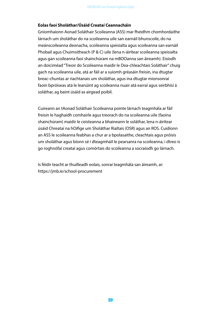## **Eolas faoi Sholáthar/Úsáid Creataí Ceannacháin**

Gníomhaíonn Aonad Soláthair Scoileanna (ASS) mar fheidhm chomhordaithe lárnach um sholáthar do na scoileanna uile san earnáil bhunscoile, do na meánscoileanna deonacha, scoileanna speisialta agus scoileanna san earnáil Phobail agus Chuimsitheach (P & C) uile (lena n-áirítear scoileanna speisialta agus gan scoileanna faoi shainchúram na mBOOanna san áireamh). Eisíodh an doiciméad "Treoir do Scoileanna maidir le Dea-chleachtais Soláthair" chuig gach na scoileanna uile, atá ar fáil ar a suíomh gréasáin freisin, ina dtugtar breac-chuntas ar riachtanais um sholáthar, agus ina dtugtar mionsonraí faoin bpróiseas atá le leanúint ag scoileanna nuair atá earraí agus seirbhísí á soláthar, ag baint úsáid as airgead poiblí.

Cuireann an tAonad Soláthair Scoileanna pointe lárnach teagmhála ar fáil freisin le haghaidh comhairle agus treorach do na scoileanna uile (faoina shainchúram) maidir le ceisteanna a bhaineann le soláthar, lena n-áirítear úsáid Chreataí na hOifige um Sholáthar Rialtais (OSR) agus an ROS. Cuidíonn an ASS le scoileanna feabhas a chur ar a bpolasaithe, cleachtais agus próisis um sholáthar agus bíonn sé i dteagmháil le pearsanra na scoileanna, i dtreo is go roghnófaí creataí agus comórtais do scoileanna a socraíodh go lárnach.

Is féidir teacht ar thuilleadh eolais, sonraí teagmhála san áireamh, ar: https://jmb.ie/school-procurement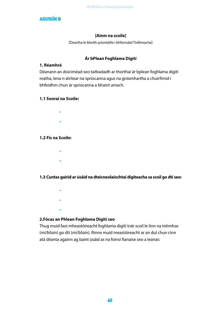## AGUISÍN B

## **[Ainm na scoile]**

(Deartha le bheith priontáilte i bhformáid Tírdhreacha)

## **Ár bPlean Foghlama Digití**

### **1. Réamhrá**

Déanann an doiciméad seo taifeadadh ar thorthaí ár bplean foghlama digití reatha, lena n-áirítear na spriocanna agus na gníomhartha a chuirfimid i bhfeidhm chun ár spriocanna a bhaint amach.

### **1.1 Sonraí na Scoile:**

• • 

### **1.2 Fís na Scoile:**

- •
- •

## **1.3 Cuntas gairid ar úsáid na dteicneolaíochtaí digiteacha sa scoil go dtí seo:**

• 

• 

- •
- 
- **2.Fócas an Phlean Foghlama Digití seo**

Thug muid faoi mheastóireacht foghlama digití inár scoil le linn na tréimhse (*mí/bliain*) go dtí (*mí/bliain*). Rinne muid meastóireacht ar an dul chun cinn atá déanta againn ag baint úsáid as na foinsí fianaise seo a leanas: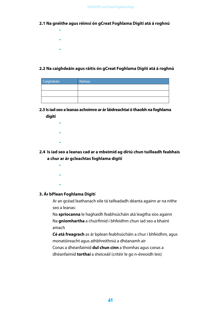### **2.1 Na gnéithe agus réimsí ón gCreat Foghlama Digití atá á roghnú**

• • • 

#### **2.2 Na caighdeáin agus ráitis ón gCreat Foghlama Digití atá á roghnú**

| Caighdeán | Ráiteas |
|-----------|---------|
|           |         |
|           |         |
|           |         |

## **2.3 Is iad seo a leanas achoimre ar ár láidreachtaí ó thaobh na foghlama digití**

• • • 

## **2.4 Is iad seo a leanas cad ar a mbeimid ag díriú chun tuilleadh feabhais a chur ar ár gcleachtas foghlama digití**

• • • 

## **3. Ár bPlean Foghlama Digití**

Ar an gcéad leathanach eile tá taifeadadh déanta againn ar na nithe seo a leanas:

Na **spriocanna** le haghaidh feabhsúcháin atá leagtha síos againn Na **gníomhartha** a chuirfimid i bhfeidhm chun iad seo a bhaint amach

 **Cé atá freagrach** as ár bplean feabhsúcháin a chur i bhfeidhm, agus monatóireacht agus athbhreithniú a dhéanamh air Conas a dhéanfaimid **dul chun cinn** a thomhas agus conas a dhéanfaimid **torthaí** a sheiceáil (critéir le go n-éireoidh leis)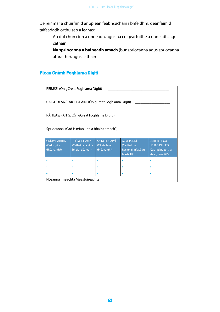De réir mar a chuirfimid ár bplean feabhsúcháin i bhfeidhm, déanfaimid taifeadadh orthu seo a leanas:

 An dul chun cinn a rinneadh, agus na coigeartuithe a rinneadh, agus cathain

 **Na spriocanna a baineadh amach** (bunspriocanna agus spriocanna athraithe), agus cathain

## Plean Gnímh Foghlama Digití

| RÉIMSE: (Ón gCreat Foghlama Dígití)               |                     |                     |                                 |                                          |  |
|---------------------------------------------------|---------------------|---------------------|---------------------------------|------------------------------------------|--|
| CAIGHDEÁN/CAIGHDEÁIN: (Ón gCreat Foghlama Dígití) |                     |                     |                                 |                                          |  |
| RÁITEAS/RÁITIS: (Ón gCreat Foghlama Dígití)       |                     |                     |                                 |                                          |  |
| Spriocanna: (Cad is mian linn a bhaint amach?)    |                     |                     |                                 |                                          |  |
| <b>GNÍOMHARTHA</b>                                | <b>TRÉIMHSE AMA</b> | <b>SAINCHÚRAIMÍ</b> | <b>ACMHAINNÍ</b>                | <b>CRITÉIR LE GO</b>                     |  |
| (Cad is gá a                                      | (Cathain atá sé le  | (Cé atá lena        | (Cad iad na                     | nÉIREOIDH LEIS                           |  |
| dhéanamh?)                                        | bheith déanta?)     | dhéanamh?)          | hacmhainní atá ag<br>teastáil?) | (Cad iad na torthaí<br>atá ag teastáil?) |  |
|                                                   |                     |                     |                                 |                                          |  |
|                                                   |                     |                     |                                 |                                          |  |
|                                                   |                     |                     |                                 |                                          |  |
| Nósanna Imeachta Meastóireachta:                  |                     |                     |                                 |                                          |  |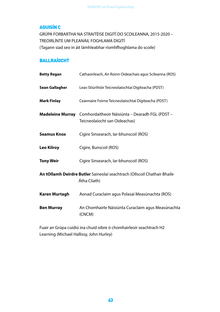## AGUISÍN C

GRÚPA FORBARTHA NA STRAITÉISE DIGITÍ DO SCOILEANNA, 2015-2020 – TREOIRLÍNTE UM PLEANÁIL FOGHLAMA DIGITÍ (Tagann siad seo in áit lámhleabhar ríomhfhoghlama do scoile)

## BALLRAÍOCHT

| <b>Betty Regan</b>                                                                       | Cathaoirleach, An Roinn Oideachais agus Scileanna (ROS)                                           |  |  |  |
|------------------------------------------------------------------------------------------|---------------------------------------------------------------------------------------------------|--|--|--|
| <b>Sean Gallagher</b>                                                                    | Leas-Stiúrthóir Teicneolaíochtaí Digiteacha (PDST)                                                |  |  |  |
| <b>Mark Finlay</b>                                                                       | Ceannaire Foirne Teicneolaíochtaí Digiteacha (PDST)                                               |  |  |  |
|                                                                                          | Madeleine Murray Comhordaitheoir Náisiúnta - Dearadh FGL (PDST -<br>Teicneolaíocht san Oideachas) |  |  |  |
| <b>Seamus Knox</b>                                                                       | Cigire Sinsearach, Iar-bhunscoil (ROS)                                                            |  |  |  |
| <b>Leo Kilroy</b>                                                                        | Cigire, Bunscoil (ROS)                                                                            |  |  |  |
| <b>Tony Weir</b>                                                                         | Cigire Sinsearach, Iar-bhunscoil (ROS)                                                            |  |  |  |
| An tOllamh Deirdre Butler Saineolaí seachtrach (Ollscoil Chathair Bhaile<br>Átha Cliath) |                                                                                                   |  |  |  |
| <b>Karen Murtagh</b>                                                                     | Aonad Curaclaim agus Polasaí Measúnachta (ROS)                                                    |  |  |  |
| <b>Ben Murray</b>                                                                        | An Chomhairle Náisiúnta Curaclaim agus Measúnachta<br>(CNCM)                                      |  |  |  |
|                                                                                          |                                                                                                   |  |  |  |

Fuair an Grúpa cuidiú ina chuid oibre ó chomhairleoir seachtrach H2 Learning (Michael Hallissy, John Hurley)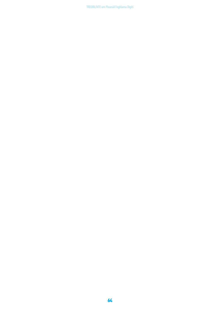TREOIRLÍNTE um Pleanáil Foghlama Digití